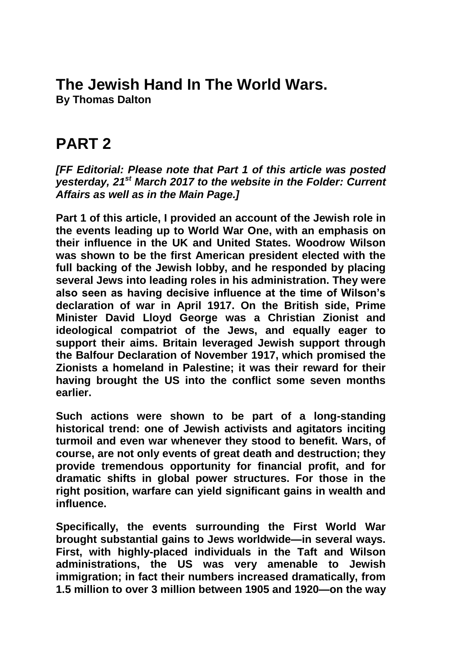# **The Jewish Hand In The World Wars.**

**By Thomas Dalton**

## **PART 2**

*[FF Editorial: Please note that Part 1 of this article was posted yesterday, 21st March 2017 to the website in the Folder: Current Affairs as well as in the Main Page.]*

**[Part 1 of this article,](http://inconvenienthistory.com/5/2/3209) I provided an account of the Jewish role in the events leading up to World War One, with an emphasis on their influence in the UK and United States. Woodrow Wilson was shown to be the first American president elected with the full backing of the Jewish lobby, and he responded by placing several Jews into leading roles in his administration. They were also seen as having decisive influence at the time of Wilson"s declaration of war in April 1917. On the British side, Prime Minister David Lloyd George was a Christian Zionist and ideological compatriot of the Jews, and equally eager to support their aims. Britain leveraged Jewish support through the Balfour Declaration of November 1917, which promised the Zionists a homeland in Palestine; it was their reward for their having brought the US into the conflict some seven months earlier.**

**Such actions were shown to be part of a long-standing historical trend: one of Jewish activists and agitators inciting turmoil and even war whenever they stood to benefit. Wars, of course, are not only events of great death and destruction; they provide tremendous opportunity for financial profit, and for dramatic shifts in global power structures. For those in the right position, warfare can yield significant gains in wealth and influence.**

**Specifically, the events surrounding the First World War brought substantial gains to Jews worldwide—in several ways. First, with highly-placed individuals in the Taft and Wilson administrations, the US was very amenable to Jewish immigration; in fact their numbers increased dramatically, from 1.5 million to over 3 million between 1905 and 1920—on the way**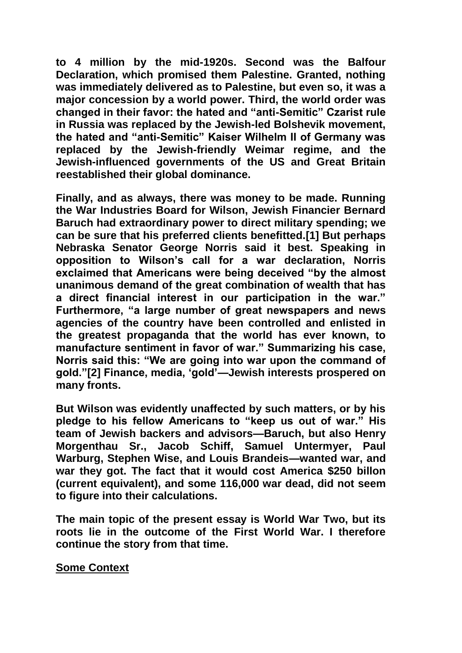**to 4 million by the mid-1920s. Second was the Balfour Declaration, which promised them Palestine. Granted, nothing was immediately delivered as to Palestine, but even so, it was a major concession by a world power. Third, the world order was changed in their favor: the hated and "anti-Semitic" Czarist rule in Russia was replaced by the Jewish-led Bolshevik movement, the hated and "anti-Semitic" Kaiser Wilhelm II of Germany was replaced by the Jewish-friendly Weimar regime, and the Jewish-influenced governments of the US and Great Britain reestablished their global dominance.**

**Finally, and as always, there was money to be made. Running the War Industries Board for Wilson, Jewish Financier Bernard Baruch had extraordinary power to direct military spending; we can be sure that his preferred clients benefitted[.\[1\]](http://inconvenienthistory.com/6/2/3294#_edn1) But perhaps Nebraska Senator George Norris said it best. Speaking in opposition to Wilson"s call for a war declaration, Norris exclaimed that Americans were being deceived "by the almost unanimous demand of the great combination of wealth that has a direct financial interest in our participation in the war." Furthermore, "a large number of great newspapers and news agencies of the country have been controlled and enlisted in the greatest propaganda that the world has ever known, to manufacture sentiment in favor of war." Summarizing his case, Norris said this: "We are going into war upon the command of gold.["\[2\]](http://inconvenienthistory.com/6/2/3294#_edn2) Finance, media, "gold"—Jewish interests prospered on many fronts.**

**But Wilson was evidently unaffected by such matters, or by his pledge to his fellow Americans to "keep us out of war." His team of Jewish backers and advisors—Baruch, but also Henry Morgenthau Sr., Jacob Schiff, Samuel Untermyer, Paul Warburg, Stephen Wise, and Louis Brandeis—wanted war, and war they got. The fact that it would cost America \$250 billon (current equivalent), and some 116,000 war dead, did not seem to figure into their calculations.**

**The main topic of the present essay is World War Two, but its roots lie in the outcome of the First World War. I therefore continue the story from that time.**

### **Some Context**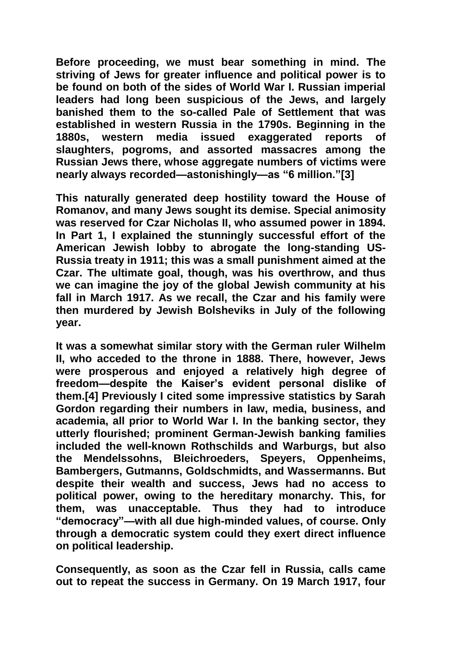**Before proceeding, we must bear something in mind. The striving of Jews for greater influence and political power is to be found on both of the sides of World War I. Russian imperial leaders had long been suspicious of the Jews, and largely banished them to the so-called Pale of Settlement that was established in western Russia in the 1790s. Beginning in the 1880s, western media issued exaggerated reports of slaughters, pogroms, and assorted massacres among the Russian Jews there, whose aggregate numbers of victims were nearly always recorded—astonishingly—as "6 million.["\[3\]](http://inconvenienthistory.com/6/2/3294#_edn3)**

**This naturally generated deep hostility toward the House of Romanov, and many Jews sought its demise. Special animosity was reserved for Czar Nicholas II, who assumed power in 1894. In Part 1, I explained the stunningly successful effort of the American Jewish lobby to abrogate the long-standing US-Russia treaty in 1911; this was a small punishment aimed at the Czar. The ultimate goal, though, was his overthrow, and thus we can imagine the joy of the global Jewish community at his fall in March 1917. As we recall, the Czar and his family were then murdered by Jewish Bolsheviks in July of the following year.**

**It was a somewhat similar story with the German ruler Wilhelm II, who acceded to the throne in 1888. There, however, Jews were prosperous and enjoyed a relatively high degree of freedom—despite the Kaiser"s evident personal dislike of them[.\[4\]](http://inconvenienthistory.com/6/2/3294#_edn4) Previously I cited some impressive statistics by Sarah Gordon regarding their numbers in law, media, business, and academia, all prior to World War I. In the banking sector, they utterly flourished; prominent German-Jewish banking families included the well-known Rothschilds and Warburgs, but also the Mendelssohns, Bleichroeders, Speyers, Oppenheims, Bambergers, Gutmanns, Goldschmidts, and Wassermanns. But despite their wealth and success, Jews had no access to political power, owing to the hereditary monarchy. This, for them, was unacceptable. Thus they had to introduce "democracy"—with all due high-minded values, of course. Only through a democratic system could they exert direct influence on political leadership.**

**Consequently, as soon as the Czar fell in Russia, calls came out to repeat the success in Germany. On 19 March 1917, four**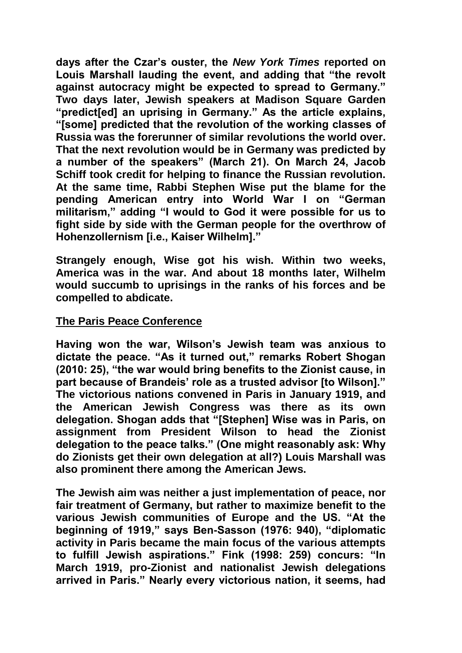**days after the Czar"s ouster, the** *New York Times* **reported on Louis Marshall lauding the event, and adding that "the revolt against autocracy might be expected to spread to Germany." Two days later, Jewish speakers at Madison Square Garden "predict[ed] an uprising in Germany." As the article explains, "[some] predicted that the revolution of the working classes of Russia was the forerunner of similar revolutions the world over. That the next revolution would be in Germany was predicted by a number of the speakers" (March 21). On March 24, Jacob Schiff took credit for helping to finance the Russian revolution. At the same time, Rabbi Stephen Wise put the blame for the pending American entry into World War I on "German militarism," adding "I would to God it were possible for us to fight side by side with the German people for the overthrow of Hohenzollernism [i.e., Kaiser Wilhelm]."**

**Strangely enough, Wise got his wish. Within two weeks, America was in the war. And about 18 months later, Wilhelm would succumb to uprisings in the ranks of his forces and be compelled to abdicate.**

#### **The Paris Peace Conference**

**Having won the war, Wilson"s Jewish team was anxious to dictate the peace. "As it turned out," remarks Robert Shogan (2010: 25), "the war would bring benefits to the Zionist cause, in part because of Brandeis" role as a trusted advisor [to Wilson]." The victorious nations convened in Paris in January 1919, and the American Jewish Congress was there as its own delegation. Shogan adds that "[Stephen] Wise was in Paris, on assignment from President Wilson to head the Zionist delegation to the peace talks." (One might reasonably ask: Why do Zionists get their own delegation at all?) Louis Marshall was also prominent there among the American Jews.**

**The Jewish aim was neither a just implementation of peace, nor fair treatment of Germany, but rather to maximize benefit to the various Jewish communities of Europe and the US. "At the beginning of 1919," says Ben-Sasson (1976: 940), "diplomatic activity in Paris became the main focus of the various attempts to fulfill Jewish aspirations." Fink (1998: 259) concurs: "In March 1919, pro-Zionist and nationalist Jewish delegations arrived in Paris." Nearly every victorious nation, it seems, had**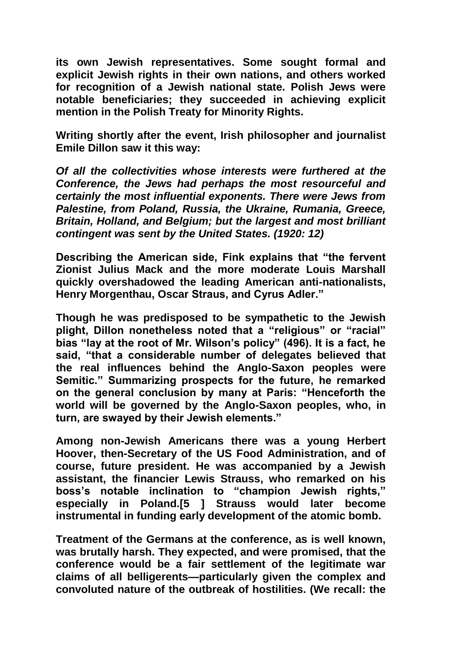**its own Jewish representatives. Some sought formal and explicit Jewish rights in their own nations, and others worked for recognition of a Jewish national state. Polish Jews were notable beneficiaries; they succeeded in achieving explicit mention in the Polish Treaty for Minority Rights.**

**Writing shortly after the event, Irish philosopher and journalist Emile Dillon saw it this way:**

*Of all the collectivities whose interests were furthered at the Conference, the Jews had perhaps the most resourceful and certainly the most influential exponents. There were Jews from Palestine, from Poland, Russia, the Ukraine, Rumania, Greece, Britain, Holland, and Belgium; but the largest and most brilliant contingent was sent by the United States. (1920: 12)*

**Describing the American side, Fink explains that "the fervent Zionist Julius Mack and the more moderate Louis Marshall quickly overshadowed the leading American anti-nationalists, Henry Morgenthau, Oscar Straus, and Cyrus Adler."**

**Though he was predisposed to be sympathetic to the Jewish plight, Dillon nonetheless noted that a "religious" or "racial" bias "lay at the root of Mr. Wilson"s policy" (496). It is a fact, he said, "that a considerable number of delegates believed that the real influences behind the Anglo-Saxon peoples were Semitic." Summarizing prospects for the future, he remarked on the general conclusion by many at Paris: "Henceforth the world will be governed by the Anglo-Saxon peoples, who, in turn, are swayed by their Jewish elements."**

**Among non-Jewish Americans there was a young Herbert Hoover, then-Secretary of the US Food Administration, and of course, future president. He was accompanied by a Jewish assistant, the financier Lewis Strauss, who remarked on his boss"s notable inclination to "champion Jewish rights," especially in Poland[.\[5 \]](http://inconvenienthistory.com/6/2/3294#_edn5) Strauss would later become instrumental in funding early development of the atomic bomb.**

**Treatment of the Germans at the conference, as is well known, was brutally harsh. They expected, and were promised, that the conference would be a fair settlement of the legitimate war claims of all belligerents—particularly given the complex and convoluted nature of the outbreak of hostilities. (We recall: the**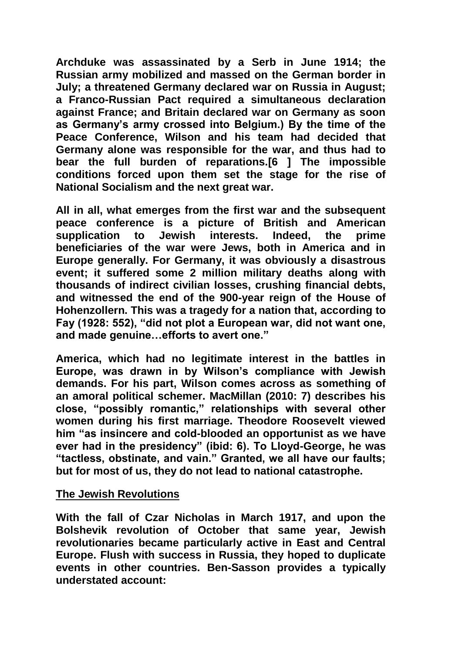**Archduke was assassinated by a Serb in June 1914; the Russian army mobilized and massed on the German border in July; a threatened Germany declared war on Russia in August; a Franco-Russian Pact required a simultaneous declaration against France; and Britain declared war on Germany as soon as Germany"s army crossed into Belgium.) By the time of the Peace Conference, Wilson and his team had decided that Germany alone was responsible for the war, and thus had to bear the full burden of reparations[.\[6 \]](http://inconvenienthistory.com/6/2/3294#_edn6) The impossible conditions forced upon them set the stage for the rise of National Socialism and the next great war.**

**All in all, what emerges from the first war and the subsequent peace conference is a picture of British and American supplication to Jewish interests. Indeed, the prime beneficiaries of the war were Jews, both in America and in Europe generally. For Germany, it was obviously a disastrous event; it suffered some 2 million military deaths along with thousands of indirect civilian losses, crushing financial debts, and witnessed the end of the 900-year reign of the House of Hohenzollern. This was a tragedy for a nation that, according to Fay (1928: 552), "did not plot a European war, did not want one, and made genuine…efforts to avert one."**

**America, which had no legitimate interest in the battles in Europe, was drawn in by Wilson"s compliance with Jewish demands. For his part, Wilson comes across as something of an amoral political schemer. MacMillan (2010: 7) describes his close, "possibly romantic," relationships with several other women during his first marriage. Theodore Roosevelt viewed him "as insincere and cold-blooded an opportunist as we have ever had in the presidency" (ibid: 6). To Lloyd-George, he was "tactless, obstinate, and vain." Granted, we all have our faults; but for most of us, they do not lead to national catastrophe.**

#### **The Jewish Revolutions**

**With the fall of Czar Nicholas in March 1917, and upon the Bolshevik revolution of October that same year, Jewish revolutionaries became particularly active in East and Central Europe. Flush with success in Russia, they hoped to duplicate events in other countries. Ben-Sasson provides a typically understated account:**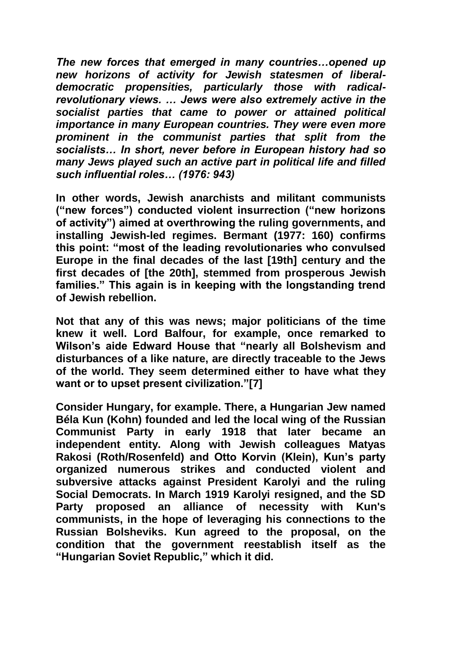*The new forces that emerged in many countries…opened up new horizons of activity for Jewish statesmen of liberaldemocratic propensities, particularly those with radicalrevolutionary views. … Jews were also extremely active in the socialist parties that came to power or attained political importance in many European countries. They were even more prominent in the communist parties that split from the socialists… In short, never before in European history had so many Jews played such an active part in political life and filled such influential roles… (1976: 943)*

**In other words, Jewish anarchists and militant communists ("new forces") conducted violent insurrection ("new horizons of activity") aimed at overthrowing the ruling governments, and installing Jewish-led regimes. Bermant (1977: 160) confirms this point: "most of the leading revolutionaries who convulsed Europe in the final decades of the last [19th] century and the first decades of [the 20th], stemmed from prosperous Jewish families." This again is in keeping with the longstanding trend of Jewish rebellion.**

**Not that any of this was news; major politicians of the time knew it well. Lord Balfour, for example, once remarked to Wilson"s aide Edward House that "nearly all Bolshevism and disturbances of a like nature, are directly traceable to the Jews of the world. They seem determined either to have what they want or to upset present civilization.["\[7\]](http://inconvenienthistory.com/6/2/3294#_edn7)**

**Consider Hungary, for example. There, a Hungarian Jew named Béla Kun (Kohn) founded and led the local wing of the Russian Communist Party in early 1918 that later became an independent entity. Along with Jewish colleagues Matyas Rakosi (Roth/Rosenfeld) and Otto Korvin (Klein), Kun"s party organized numerous strikes and conducted violent and subversive attacks against President Karolyi and the ruling Social Democrats. In March 1919 Karolyi resigned, and the SD Party proposed an alliance of necessity with Kun's communists, in the hope of leveraging his connections to the Russian Bolsheviks. Kun agreed to the proposal, on the condition that the government reestablish itself as the "Hungarian Soviet Republic," which it did.**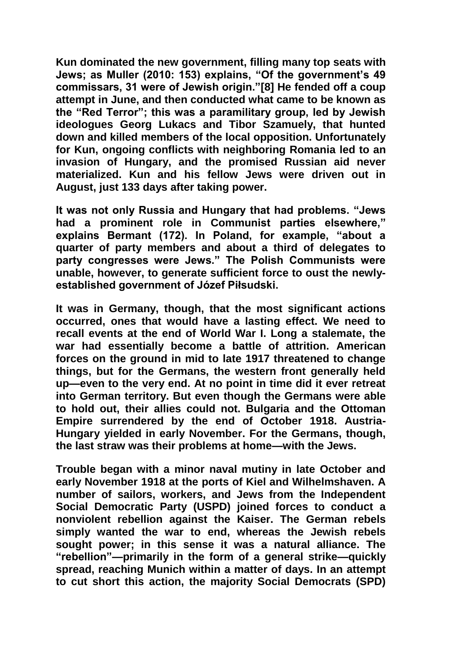**Kun dominated the new government, filling many top seats with Jews; as Muller (2010: 153) explains, "Of the government"s 49 commissars, 31 were of Jewish origin.["\[8\]](http://inconvenienthistory.com/6/2/3294#_edn8) He fended off a coup attempt in June, and then conducted what came to be known as the "Red Terror"; this was a paramilitary group, led by Jewish ideologues Georg Lukacs and Tibor Szamuely, that hunted down and killed members of the local opposition. Unfortunately for Kun, ongoing conflicts with neighboring Romania led to an invasion of Hungary, and the promised Russian aid never materialized. Kun and his fellow Jews were driven out in August, just 133 days after taking power.**

**It was not only Russia and Hungary that had problems. "Jews had a prominent role in Communist parties elsewhere," explains Bermant (172). In Poland, for example, "about a quarter of party members and about a third of delegates to party congresses were Jews." The Polish Communists were unable, however, to generate sufficient force to oust the newlyestablished government of Józef Piłsudski.**

**It was in Germany, though, that the most significant actions occurred, ones that would have a lasting effect. We need to recall events at the end of World War I. Long a stalemate, the war had essentially become a battle of attrition. American forces on the ground in mid to late 1917 threatened to change things, but for the Germans, the western front generally held up—even to the very end. At no point in time did it ever retreat into German territory. But even though the Germans were able to hold out, their allies could not. Bulgaria and the Ottoman Empire surrendered by the end of October 1918. Austria-Hungary yielded in early November. For the Germans, though, the last straw was their problems at home—with the Jews.**

**Trouble began with a minor naval mutiny in late October and early November 1918 at the ports of Kiel and Wilhelmshaven. A number of sailors, workers, and Jews from the Independent Social Democratic Party (USPD) joined forces to conduct a nonviolent rebellion against the Kaiser. The German rebels simply wanted the war to end, whereas the Jewish rebels sought power; in this sense it was a natural alliance. The "rebellion"—primarily in the form of a general strike—quickly spread, reaching Munich within a matter of days. In an attempt to cut short this action, the majority Social Democrats (SPD)**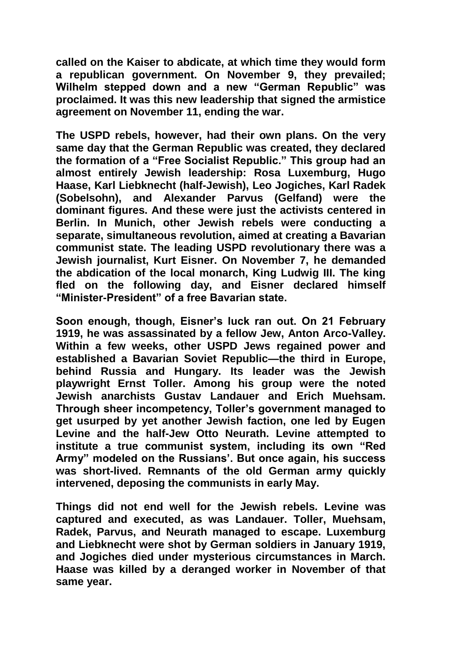**called on the Kaiser to abdicate, at which time they would form a republican government. On November 9, they prevailed; Wilhelm stepped down and a new "German Republic" was proclaimed. It was this new leadership that signed the armistice agreement on November 11, ending the war.**

**The USPD rebels, however, had their own plans. On the very same day that the German Republic was created, they declared the formation of a "Free Socialist Republic." This group had an almost entirely Jewish leadership: Rosa Luxemburg, Hugo Haase, Karl Liebknecht (half-Jewish), Leo Jogiches, Karl Radek (Sobelsohn), and Alexander Parvus (Gelfand) were the dominant figures. And these were just the activists centered in Berlin. In Munich, other Jewish rebels were conducting a separate, simultaneous revolution, aimed at creating a Bavarian communist state. The leading USPD revolutionary there was a Jewish journalist, Kurt Eisner. On November 7, he demanded the abdication of the local monarch, King Ludwig III. The king fled on the following day, and Eisner declared himself "Minister-President" of a free Bavarian state.**

**Soon enough, though, Eisner"s luck ran out. On 21 February 1919, he was assassinated by a fellow Jew, Anton Arco-Valley. Within a few weeks, other USPD Jews regained power and established a Bavarian Soviet Republic—the third in Europe, behind Russia and Hungary. Its leader was the Jewish playwright Ernst Toller. Among his group were the noted Jewish anarchists Gustav Landauer and Erich Muehsam. Through sheer incompetency, Toller"s government managed to get usurped by yet another Jewish faction, one led by Eugen Levine and the half-Jew Otto Neurath. Levine attempted to institute a true communist system, including its own "Red Army" modeled on the Russians". But once again, his success was short-lived. Remnants of the old German army quickly intervened, deposing the communists in early May.**

**Things did not end well for the Jewish rebels. Levine was captured and executed, as was Landauer. Toller, Muehsam, Radek, Parvus, and Neurath managed to escape. Luxemburg and Liebknecht were shot by German soldiers in January 1919, and Jogiches died under mysterious circumstances in March. Haase was killed by a deranged worker in November of that same year.**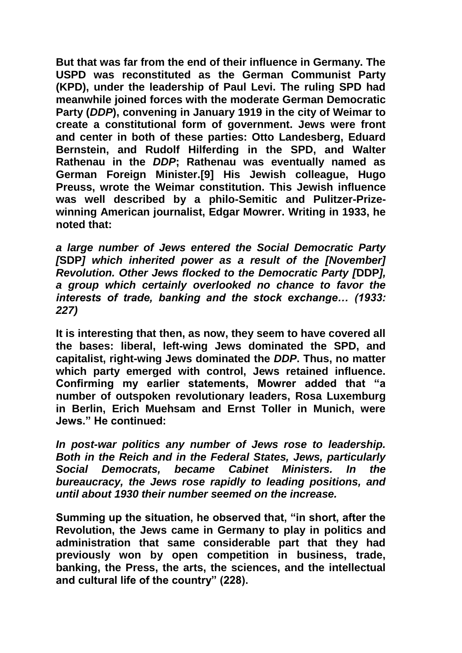**But that was far from the end of their influence in Germany. The USPD was reconstituted as the German Communist Party (KPD), under the leadership of Paul Levi. The ruling SPD had meanwhile joined forces with the moderate German Democratic Party (***DDP***), convening in January 1919 in the city of Weimar to create a constitutional form of government. Jews were front and center in both of these parties: Otto Landesberg, Eduard Bernstein, and Rudolf Hilferding in the SPD, and Walter Rathenau in the** *DDP***; Rathenau was eventually named as German Foreign Minister[.\[9\]](http://inconvenienthistory.com/6/2/3294#_edn9) His Jewish colleague, Hugo Preuss, wrote the Weimar constitution. This Jewish influence was well described by a philo-Semitic and Pulitzer-Prizewinning American journalist, Edgar Mowrer. Writing in 1933, he noted that:**

*a large number of Jews entered the Social Democratic Party [***SDP***] which inherited power as a result of the [November] Revolution. Other Jews flocked to the Democratic Party [***DDP***], a group which certainly overlooked no chance to favor the interests of trade, banking and the stock exchange… (1933: 227)*

**It is interesting that then, as now, they seem to have covered all the bases: liberal, left-wing Jews dominated the SPD, and capitalist, right-wing Jews dominated the** *DDP***. Thus, no matter which party emerged with control, Jews retained influence. Confirming my earlier statements, Mowrer added that "a number of outspoken revolutionary leaders, Rosa Luxemburg in Berlin, Erich Muehsam and Ernst Toller in Munich, were Jews." He continued:**

*In post-war politics any number of Jews rose to leadership. Both in the Reich and in the Federal States, Jews, particularly Social Democrats, became Cabinet Ministers. In the bureaucracy, the Jews rose rapidly to leading positions, and until about 1930 their number seemed on the increase.*

**Summing up the situation, he observed that, "in short, after the Revolution, the Jews came in Germany to play in politics and administration that same considerable part that they had previously won by open competition in business, trade, banking, the Press, the arts, the sciences, and the intellectual and cultural life of the country" (228).**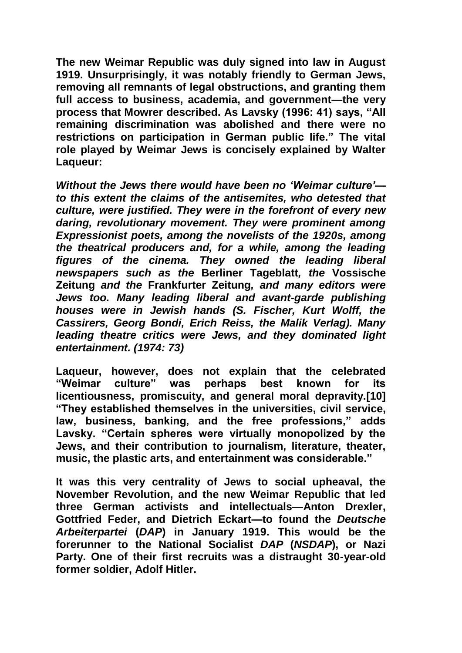**The new Weimar Republic was duly signed into law in August 1919. Unsurprisingly, it was notably friendly to German Jews, removing all remnants of legal obstructions, and granting them full access to business, academia, and government—the very process that Mowrer described. As Lavsky (1996: 41) says, "All remaining discrimination was abolished and there were no restrictions on participation in German public life." The vital role played by Weimar Jews is concisely explained by Walter Laqueur:**

*Without the Jews there would have been no "Weimar culture" to this extent the claims of the antisemites, who detested that culture, were justified. They were in the forefront of every new daring, revolutionary movement. They were prominent among Expressionist poets, among the novelists of the 1920s, among the theatrical producers and, for a while, among the leading figures of the cinema. They owned the leading liberal newspapers such as the* **Berliner Tageblatt***, the* **Vossische Zeitung** *and the* **Frankfurter Zeitung***, and many editors were Jews too. Many leading liberal and avant-garde publishing houses were in Jewish hands (S. Fischer, Kurt Wolff, the Cassirers, Georg Bondi, Erich Reiss, the Malik Verlag). Many leading theatre critics were Jews, and they dominated light entertainment. (1974: 73)*

**Laqueur, however, does not explain that the celebrated "Weimar culture" was perhaps best known for its licentiousness, promiscuity, and general moral depravity[.\[10\]](http://inconvenienthistory.com/6/2/3294#_edn10) "They established themselves in the universities, civil service, law, business, banking, and the free professions," adds Lavsky. "Certain spheres were virtually monopolized by the Jews, and their contribution to journalism, literature, theater, music, the plastic arts, and entertainment was considerable."**

**It was this very centrality of Jews to social upheaval, the November Revolution, and the new Weimar Republic that led three German activists and intellectuals—Anton Drexler, Gottfried Feder, and Dietrich Eckart—to found the** *Deutsche Arbeiterpartei* **(***DAP***) in January 1919. This would be the forerunner to the National Socialist** *DAP* **(***NSDAP***), or Nazi Party. One of their first recruits was a distraught 30-year-old former soldier, Adolf Hitler.**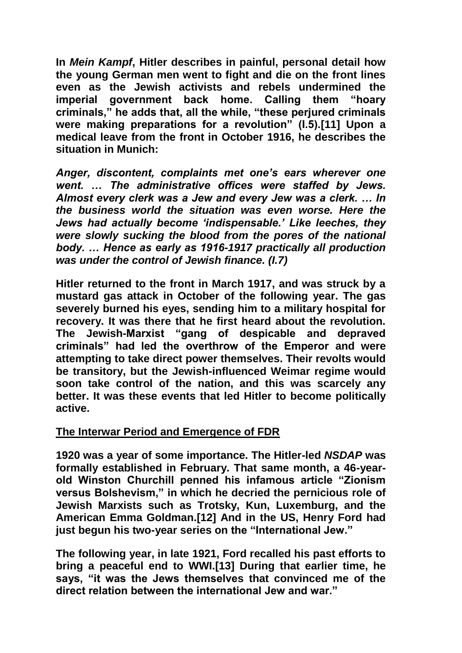**In** *Mein Kampf***, Hitler describes in painful, personal detail how the young German men went to fight and die on the front lines even as the Jewish activists and rebels undermined the imperial government back home. Calling them "hoary criminals," he adds that, all the while, "these perjured criminals were making preparations for a revolution" (I.5)[.\[11\]](http://inconvenienthistory.com/6/2/3294#_edn11) Upon a medical leave from the front in October 1916, he describes the situation in Munich:**

*Anger, discontent, complaints met one"s ears wherever one went. … The administrative offices were staffed by Jews. Almost every clerk was a Jew and every Jew was a clerk. … In the business world the situation was even worse. Here the Jews had actually become "indispensable." Like leeches, they were slowly sucking the blood from the pores of the national body. … Hence as early as 1916-1917 practically all production was under the control of Jewish finance. (I.7)*

**Hitler returned to the front in March 1917, and was struck by a mustard gas attack in October of the following year. The gas severely burned his eyes, sending him to a military hospital for recovery. It was there that he first heard about the revolution. The Jewish-Marxist "gang of despicable and depraved criminals" had led the overthrow of the Emperor and were attempting to take direct power themselves. Their revolts would be transitory, but the Jewish-influenced Weimar regime would soon take control of the nation, and this was scarcely any better. It was these events that led Hitler to become politically active.**

### **The Interwar Period and Emergence of FDR**

**1920 was a year of some importance. The Hitler-led** *NSDAP* **was formally established in February. That same month, a 46-yearold Winston Churchill penned his infamous article "Zionism versus Bolshevism," in which he decried the pernicious role of Jewish Marxists such as Trotsky, Kun, Luxemburg, and the American Emma Goldman[.\[12\]](http://inconvenienthistory.com/6/2/3294#_edn12) And in the US, Henry Ford had just begun his two-year series on the "International Jew."**

**The following year, in late 1921, Ford recalled his past efforts to bring a peaceful end to WWI[.\[13\]](http://inconvenienthistory.com/6/2/3294#_edn13) During that earlier time, he says, "it was the Jews themselves that convinced me of the direct relation between the international Jew and war."**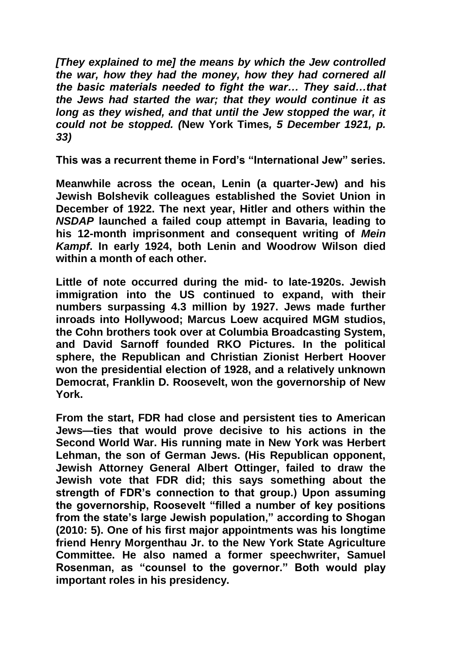*[They explained to me] the means by which the Jew controlled the war, how they had the money, how they had cornered all the basic materials needed to fight the war… They said…that the Jews had started the war; that they would continue it as long as they wished, and that until the Jew stopped the war, it could not be stopped. (***New York Times***, 5 December 1921, p. 33)*

**This was a recurrent theme in Ford"s "International Jew" series.**

**Meanwhile across the ocean, Lenin (a quarter-Jew) and his Jewish Bolshevik colleagues established the Soviet Union in December of 1922. The next year, Hitler and others within the**  *NSDAP* **launched a failed coup attempt in Bavaria, leading to his 12-month imprisonment and consequent writing of** *Mein Kampf***. In early 1924, both Lenin and Woodrow Wilson died within a month of each other.**

**Little of note occurred during the mid- to late-1920s. Jewish immigration into the US continued to expand, with their numbers surpassing 4.3 million by 1927. Jews made further inroads into Hollywood; Marcus Loew acquired MGM studios, the Cohn brothers took over at Columbia Broadcasting System, and David Sarnoff founded RKO Pictures. In the political sphere, the Republican and Christian Zionist Herbert Hoover won the presidential election of 1928, and a relatively unknown Democrat, Franklin D. Roosevelt, won the governorship of New York.**

**From the start, FDR had close and persistent ties to American Jews—ties that would prove decisive to his actions in the Second World War. His running mate in New York was Herbert Lehman, the son of German Jews. (His Republican opponent, Jewish Attorney General Albert Ottinger, failed to draw the Jewish vote that FDR did; this says something about the strength of FDR"s connection to that group.) Upon assuming the governorship, Roosevelt "filled a number of key positions from the state"s large Jewish population," according to Shogan (2010: 5). One of his first major appointments was his longtime friend Henry Morgenthau Jr. to the New York State Agriculture Committee. He also named a former speechwriter, Samuel Rosenman, as "counsel to the governor." Both would play important roles in his presidency.**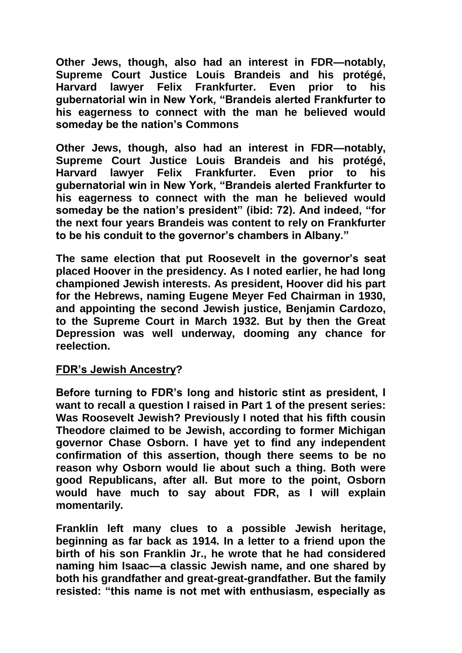**Other Jews, though, also had an interest in FDR—notably, Supreme Court Justice Louis Brandeis and his protégé, Harvard lawyer Felix Frankfurter. Even prior to his gubernatorial win in New York, "Brandeis alerted Frankfurter to his eagerness to connect with the man he believed would someday be the nation"s Commons**

**Other Jews, though, also had an interest in FDR—notably, Supreme Court Justice Louis Brandeis and his protégé, Harvard lawyer Felix Frankfurter. Even prior to his gubernatorial win in New York, "Brandeis alerted Frankfurter to his eagerness to connect with the man he believed would someday be the nation"s president" (ibid: 72). And indeed, "for the next four years Brandeis was content to rely on Frankfurter to be his conduit to the governor"s chambers in Albany."**

**The same election that put Roosevelt in the governor"s seat placed Hoover in the presidency. As I noted earlier, he had long championed Jewish interests. As president, Hoover did his part for the Hebrews, naming Eugene Meyer Fed Chairman in 1930, and appointing the second Jewish justice, Benjamin Cardozo, to the Supreme Court in March 1932. But by then the Great Depression was well underway, dooming any chance for reelection.**

#### **FDR"s Jewish Ancestry?**

**Before turning to FDR"s long and historic stint as president, I want to recall a question I raised in Part 1 of the present series: Was Roosevelt Jewish? Previously I noted that his fifth cousin Theodore claimed to be Jewish, according to former Michigan governor Chase Osborn. I have yet to find any independent confirmation of this assertion, though there seems to be no reason why Osborn would lie about such a thing. Both were good Republicans, after all. But more to the point, Osborn would have much to say about FDR, as I will explain momentarily.**

**Franklin left many clues to a possible Jewish heritage, beginning as far back as 1914. In a letter to a friend upon the birth of his son Franklin Jr., he wrote that he had considered naming him Isaac—a classic Jewish name, and one shared by both his grandfather and great-great-grandfather. But the family resisted: "this name is not met with enthusiasm, especially as**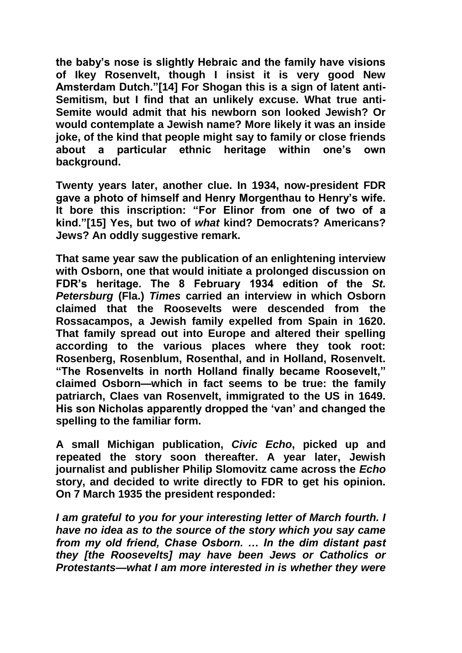**the baby"s nose is slightly Hebraic and the family have visions of Ikey Rosenvelt, though I insist it is very good New Amsterdam Dutch.["\[14\]](http://inconvenienthistory.com/6/2/3294#_edn14) For Shogan this is a sign of latent anti-Semitism, but I find that an unlikely excuse. What true anti-Semite would admit that his newborn son looked Jewish? Or would contemplate a Jewish name? More likely it was an inside joke, of the kind that people might say to family or close friends about a particular ethnic heritage within one"s own background.**

**Twenty years later, another clue. In 1934, now-president FDR gave a photo of himself and Henry Morgenthau to Henry"s wife. It bore this inscription: "For Elinor from one of two of a kind.["\[15\]](http://inconvenienthistory.com/6/2/3294#_edn15) Yes, but two of** *what* **kind? Democrats? Americans? Jews? An oddly suggestive remark.**

**That same year saw the publication of an enlightening interview with Osborn, one that would initiate a prolonged discussion on FDR"s heritage. The 8 February 1934 edition of the** *St. Petersburg* **(Fla.)** *Times* **carried an interview in which Osborn claimed that the Roosevelts were descended from the Rossacampos, a Jewish family expelled from Spain in 1620. That family spread out into Europe and altered their spelling according to the various places where they took root: Rosenberg, Rosenblum, Rosenthal, and in Holland, Rosenvelt. "The Rosenvelts in north Holland finally became Roosevelt," claimed Osborn—which in fact seems to be true: the family patriarch, Claes van Rosenvelt, immigrated to the US in 1649. His son Nicholas apparently dropped the "van" and changed the spelling to the familiar form.**

**A small Michigan publication,** *Civic Echo***, picked up and repeated the story soon thereafter. A year later, Jewish journalist and publisher Philip Slomovitz came across the** *Echo* **story, and decided to write directly to FDR to get his opinion. On 7 March 1935 the president responded:**

*I am grateful to you for your interesting letter of March fourth. I have no idea as to the source of the story which you say came from my old friend, Chase Osborn. … In the dim distant past they [the Roosevelts] may have been Jews or Catholics or Protestants—what I am more interested in is whether they were*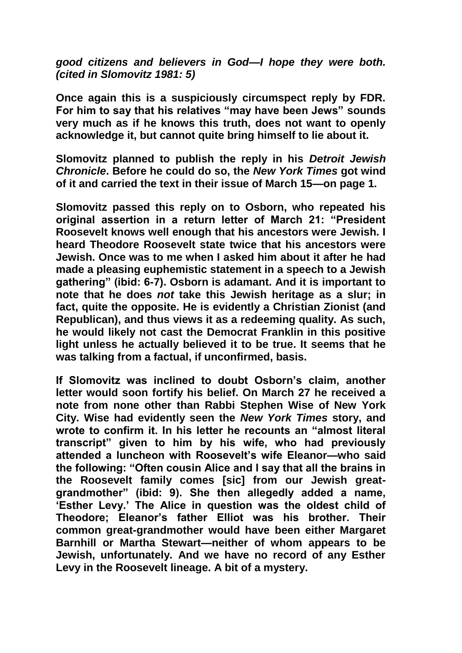*good citizens and believers in God—I hope they were both. (cited in Slomovitz 1981: 5)*

**Once again this is a suspiciously circumspect reply by FDR. For him to say that his relatives "may have been Jews" sounds very much as if he knows this truth, does not want to openly acknowledge it, but cannot quite bring himself to lie about it.**

**Slomovitz planned to publish the reply in his** *Detroit Jewish Chronicle***. Before he could do so, the** *New York Times* **got wind of it and carried the text in their issue of March 15—on page 1.**

**Slomovitz passed this reply on to Osborn, who repeated his original assertion in a return letter of March 21: "President Roosevelt knows well enough that his ancestors were Jewish. I heard Theodore Roosevelt state twice that his ancestors were Jewish. Once was to me when I asked him about it after he had made a pleasing euphemistic statement in a speech to a Jewish gathering" (ibid: 6-7). Osborn is adamant. And it is important to note that he does** *not* **take this Jewish heritage as a slur; in fact, quite the opposite. He is evidently a Christian Zionist (and Republican), and thus views it as a redeeming quality. As such, he would likely not cast the Democrat Franklin in this positive light unless he actually believed it to be true. It seems that he was talking from a factual, if unconfirmed, basis.**

**If Slomovitz was inclined to doubt Osborn"s claim, another letter would soon fortify his belief. On March 27 he received a note from none other than Rabbi Stephen Wise of New York City. Wise had evidently seen the** *New York Times* **story, and wrote to confirm it. In his letter he recounts an "almost literal transcript" given to him by his wife, who had previously attended a luncheon with Roosevelt"s wife Eleanor—who said the following: "Often cousin Alice and I say that all the brains in the Roosevelt family comes [sic] from our Jewish greatgrandmother" (ibid: 9). She then allegedly added a name, "Esther Levy." The Alice in question was the oldest child of Theodore; Eleanor"s father Elliot was his brother. Their common great-grandmother would have been either Margaret Barnhill or Martha Stewart—neither of whom appears to be Jewish, unfortunately. And we have no record of any Esther Levy in the Roosevelt lineage. A bit of a mystery.**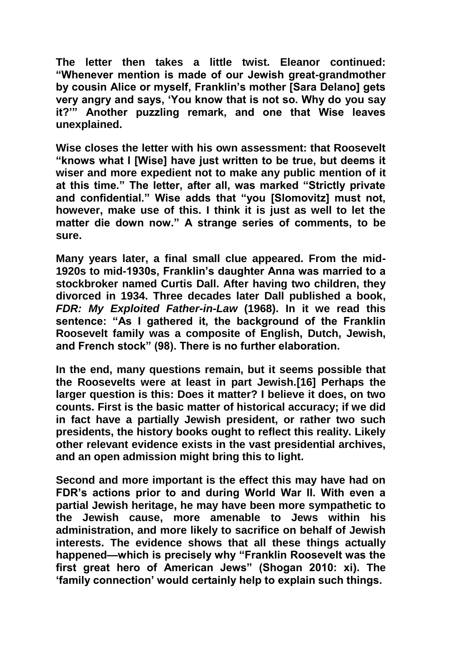**The letter then takes a little twist. Eleanor continued: "Whenever mention is made of our Jewish great-grandmother by cousin Alice or myself, Franklin"s mother [Sara Delano] gets very angry and says, "You know that is not so. Why do you say it?"" Another puzzling remark, and one that Wise leaves unexplained.**

**Wise closes the letter with his own assessment: that Roosevelt "knows what I [Wise] have just written to be true, but deems it wiser and more expedient not to make any public mention of it at this time." The letter, after all, was marked "Strictly private and confidential." Wise adds that "you [Slomovitz] must not, however, make use of this. I think it is just as well to let the matter die down now." A strange series of comments, to be sure.**

**Many years later, a final small clue appeared. From the mid-1920s to mid-1930s, Franklin"s daughter Anna was married to a stockbroker named Curtis Dall. After having two children, they divorced in 1934. Three decades later Dall published a book,**  *FDR: My Exploited Father-in-Law* **(1968). In it we read this sentence: "As I gathered it, the background of the Franklin Roosevelt family was a composite of English, Dutch, Jewish, and French stock" (98). There is no further elaboration.**

**In the end, many questions remain, but it seems possible that the Roosevelts were at least in part Jewish[.\[16\]](http://inconvenienthistory.com/6/2/3294#_edn16) Perhaps the larger question is this: Does it matter? I believe it does, on two counts. First is the basic matter of historical accuracy; if we did in fact have a partially Jewish president, or rather two such presidents, the history books ought to reflect this reality. Likely other relevant evidence exists in the vast presidential archives, and an open admission might bring this to light.**

**Second and more important is the effect this may have had on FDR"s actions prior to and during World War II. With even a partial Jewish heritage, he may have been more sympathetic to the Jewish cause, more amenable to Jews within his administration, and more likely to sacrifice on behalf of Jewish interests. The evidence shows that all these things actually happened—which is precisely why "Franklin Roosevelt was the first great hero of American Jews" (Shogan 2010: xi). The "family connection" would certainly help to explain such things.**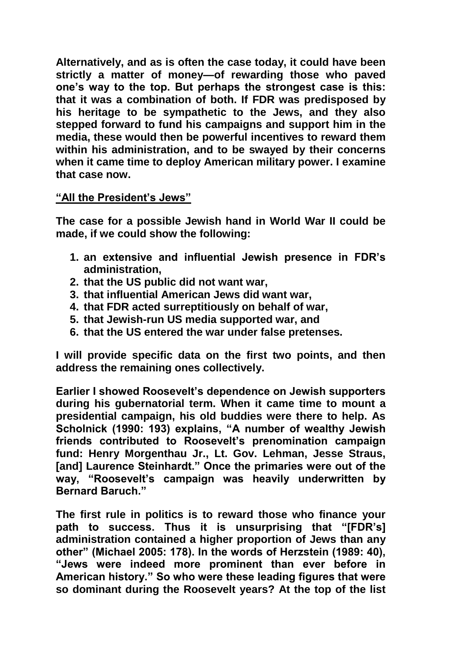**Alternatively, and as is often the case today, it could have been strictly a matter of money—of rewarding those who paved one"s way to the top. But perhaps the strongest case is this: that it was a combination of both. If FDR was predisposed by his heritage to be sympathetic to the Jews, and they also stepped forward to fund his campaigns and support him in the media, these would then be powerful incentives to reward them within his administration, and to be swayed by their concerns when it came time to deploy American military power. I examine that case now.**

#### **"All the President"s Jews"**

**The case for a possible Jewish hand in World War II could be made, if we could show the following:**

- **1. an extensive and influential Jewish presence in FDR"s administration,**
- **2. that the US public did not want war,**
- **3. that influential American Jews did want war,**
- **4. that FDR acted surreptitiously on behalf of war,**
- **5. that Jewish-run US media supported war, and**
- **6. that the US entered the war under false pretenses.**

**I will provide specific data on the first two points, and then address the remaining ones collectively.**

**Earlier I showed Roosevelt"s dependence on Jewish supporters during his gubernatorial term. When it came time to mount a presidential campaign, his old buddies were there to help. As Scholnick (1990: 193) explains, "A number of wealthy Jewish friends contributed to Roosevelt"s prenomination campaign fund: Henry Morgenthau Jr., Lt. Gov. Lehman, Jesse Straus, [and] Laurence Steinhardt." Once the primaries were out of the way, "Roosevelt"s campaign was heavily underwritten by Bernard Baruch."**

**The first rule in politics is to reward those who finance your path to success. Thus it is unsurprising that "[FDR"s] administration contained a higher proportion of Jews than any other" (Michael 2005: 178). In the words of Herzstein (1989: 40), "Jews were indeed more prominent than ever before in American history." So who were these leading figures that were so dominant during the Roosevelt years? At the top of the list**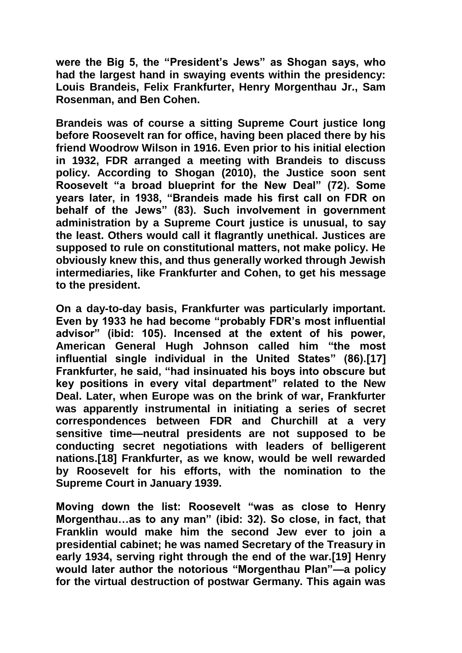**were the Big 5, the "President"s Jews" as Shogan says, who had the largest hand in swaying events within the presidency: Louis Brandeis, Felix Frankfurter, Henry Morgenthau Jr., Sam Rosenman, and Ben Cohen.**

**Brandeis was of course a sitting Supreme Court justice long before Roosevelt ran for office, having been placed there by his friend Woodrow Wilson in 1916. Even prior to his initial election in 1932, FDR arranged a meeting with Brandeis to discuss policy. According to Shogan (2010), the Justice soon sent Roosevelt "a broad blueprint for the New Deal" (72). Some years later, in 1938, "Brandeis made his first call on FDR on behalf of the Jews" (83). Such involvement in government administration by a Supreme Court justice is unusual, to say the least. Others would call it flagrantly unethical. Justices are supposed to rule on constitutional matters, not make policy. He obviously knew this, and thus generally worked through Jewish intermediaries, like Frankfurter and Cohen, to get his message to the president.**

**On a day-to-day basis, Frankfurter was particularly important. Even by 1933 he had become "probably FDR"s most influential advisor" (ibid: 105). Incensed at the extent of his power, American General Hugh Johnson called him "the most influential single individual in the United States" (86)[.\[17\]](http://inconvenienthistory.com/6/2/3294#_edn17) Frankfurter, he said, "had insinuated his boys into obscure but key positions in every vital department" related to the New Deal. Later, when Europe was on the brink of war, Frankfurter was apparently instrumental in initiating a series of secret correspondences between FDR and Churchill at a very sensitive time—neutral presidents are not supposed to be conducting secret negotiations with leaders of belligerent nations[.\[18\]](http://inconvenienthistory.com/6/2/3294#_edn18) Frankfurter, as we know, would be well rewarded by Roosevelt for his efforts, with the nomination to the Supreme Court in January 1939.**

**Moving down the list: Roosevelt "was as close to Henry Morgenthau…as to any man" (ibid: 32). So close, in fact, that Franklin would make him the second Jew ever to join a presidential cabinet; he was named Secretary of the Treasury in early 1934, serving right through the end of the war[.\[19\]](http://inconvenienthistory.com/6/2/3294#_edn19) Henry would later author the notorious "Morgenthau Plan"—a policy for the virtual destruction of postwar Germany. This again was**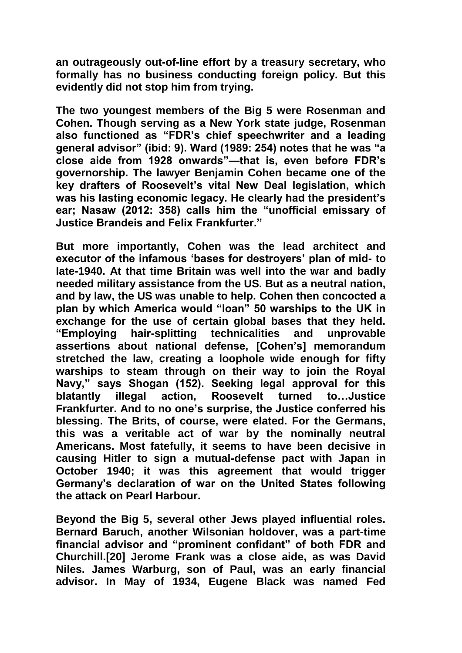**an outrageously out-of-line effort by a treasury secretary, who formally has no business conducting foreign policy. But this evidently did not stop him from trying.**

**The two youngest members of the Big 5 were Rosenman and Cohen. Though serving as a New York state judge, Rosenman also functioned as "FDR"s chief speechwriter and a leading general advisor" (ibid: 9). Ward (1989: 254) notes that he was "a close aide from 1928 onwards"—that is, even before FDR"s governorship. The lawyer Benjamin Cohen became one of the key drafters of Roosevelt"s vital New Deal legislation, which was his lasting economic legacy. He clearly had the president"s ear; Nasaw (2012: 358) calls him the "unofficial emissary of Justice Brandeis and Felix Frankfurter."**

**But more importantly, Cohen was the lead architect and executor of the infamous "bases for destroyers" plan of mid- to late-1940. At that time Britain was well into the war and badly needed military assistance from the US. But as a neutral nation, and by law, the US was unable to help. Cohen then concocted a plan by which America would "loan" 50 warships to the UK in exchange for the use of certain global bases that they held. "Employing hair-splitting technicalities and unprovable assertions about national defense, [Cohen"s] memorandum stretched the law, creating a loophole wide enough for fifty warships to steam through on their way to join the Royal Navy," says Shogan (152). Seeking legal approval for this blatantly illegal action, Roosevelt turned to…Justice Frankfurter. And to no one"s surprise, the Justice conferred his blessing. The Brits, of course, were elated. For the Germans, this was a veritable act of war by the nominally neutral Americans. Most fatefully, it seems to have been decisive in causing Hitler to sign a mutual-defense pact with Japan in October 1940; it was this agreement that would trigger Germany"s declaration of war on the United States following the attack on Pearl Harbour.**

**Beyond the Big 5, several other Jews played influential roles. Bernard Baruch, another Wilsonian holdover, was a part-time financial advisor and "prominent confidant" of both FDR and Churchill[.\[20\]](http://inconvenienthistory.com/6/2/3294#_edn20) Jerome Frank was a close aide, as was David Niles. James Warburg, son of Paul, was an early financial advisor. In May of 1934, Eugene Black was named Fed**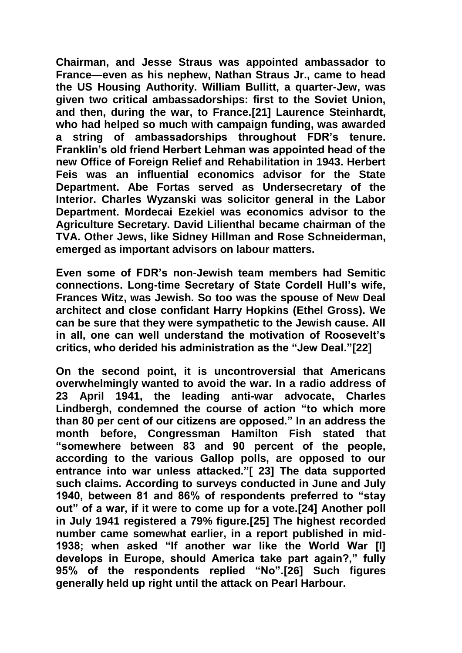**Chairman, and Jesse Straus was appointed ambassador to France—even as his nephew, Nathan Straus Jr., came to head the US Housing Authority. William Bullitt, a quarter-Jew, was given two critical ambassadorships: first to the Soviet Union, and then, during the war, to France[.\[21\]](http://inconvenienthistory.com/6/2/3294#_edn21) Laurence Steinhardt, who had helped so much with campaign funding, was awarded a string of ambassadorships throughout FDR"s tenure. Franklin"s old friend Herbert Lehman was appointed head of the new Office of Foreign Relief and Rehabilitation in 1943. Herbert Feis was an influential economics advisor for the State Department. Abe Fortas served as Undersecretary of the Interior. Charles Wyzanski was solicitor general in the Labor Department. Mordecai Ezekiel was economics advisor to the Agriculture Secretary. David Lilienthal became chairman of the TVA. Other Jews, like Sidney Hillman and Rose Schneiderman, emerged as important advisors on labour matters.**

**Even some of FDR"s non-Jewish team members had Semitic connections. Long-time Secretary of State Cordell Hull"s wife, Frances Witz, was Jewish. So too was the spouse of New Deal architect and close confidant Harry Hopkins (Ethel Gross). We can be sure that they were sympathetic to the Jewish cause. All in all, one can well understand the motivation of Roosevelt"s critics, who derided his administration as the "Jew Deal.["\[22\]](http://inconvenienthistory.com/6/2/3294#_edn22)**

**On the second point, it is uncontroversial that Americans overwhelmingly wanted to avoid the war. In a radio address of 23 April 1941, the leading anti-war advocate, Charles Lindbergh, condemned the course of action "to which more than 80 per cent of our citizens are opposed." In an address the month before, Congressman Hamilton Fish stated that "somewhere between 83 and 90 percent of the people, according to the various Gallop polls, are opposed to our entrance into war unless attacked.["\[ 23\]](http://inconvenienthistory.com/6/2/3294#_edn23) The data supported such claims. According to surveys conducted in June and July 1940, between 81 and 86% of respondents preferred to "stay out" of a war, if it were to come up for a vote[.\[24\]](http://inconvenienthistory.com/6/2/3294#_edn24) Another poll in July 1941 registered a 79% figure[.\[25\]](http://inconvenienthistory.com/6/2/3294#_edn25) The highest recorded number came somewhat earlier, in a report published in mid-1938; when asked "If another war like the World War [I] develops in Europe, should America take part again?," fully 95% of the respondents replied "No"[.\[26\]](http://inconvenienthistory.com/6/2/3294#_edn26) Such figures generally held up right until the attack on Pearl Harbour.**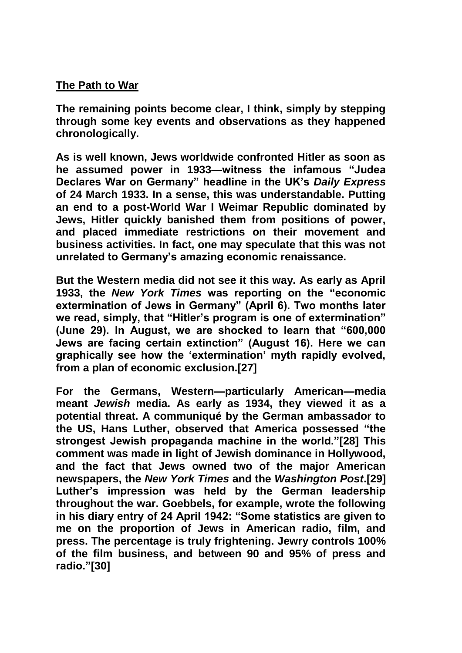#### **The Path to War**

**The remaining points become clear, I think, simply by stepping through some key events and observations as they happened chronologically.**

**As is well known, Jews worldwide confronted Hitler as soon as he assumed power in 1933—witness the infamous "Judea Declares War on Germany" headline in the UK"s** *Daily Express* **of 24 March 1933. In a sense, this was understandable. Putting an end to a post-World War I Weimar Republic dominated by Jews, Hitler quickly banished them from positions of power, and placed immediate restrictions on their movement and business activities. In fact, one may speculate that this was not unrelated to Germany"s amazing economic renaissance.**

**But the Western media did not see it this way. As early as April 1933, the** *New York Times* **was reporting on the "economic extermination of Jews in Germany" (April 6). Two months later we read, simply, that "Hitler"s program is one of extermination" (June 29). In August, we are shocked to learn that "600,000 Jews are facing certain extinction" (August 16). Here we can graphically see how the "extermination" myth rapidly evolved, from a plan of economic exclusion[.\[27\]](http://inconvenienthistory.com/6/2/3294#_edn27)**

**For the Germans, Western—particularly American—media meant** *Jewish* **media. As early as 1934, they viewed it as a potential threat. A communiqué by the German ambassador to the US, Hans Luther, observed that America possessed "the strongest Jewish propaganda machine in the world.["\[28\]](http://inconvenienthistory.com/6/2/3294#_edn28) This comment was made in light of Jewish dominance in Hollywood, and the fact that Jews owned two of the major American newspapers, the** *New York Times* **and the** *Washington Post***[.\[29\]](http://inconvenienthistory.com/6/2/3294#_edn29) Luther"s impression was held by the German leadership throughout the war. Goebbels, for example, wrote the following in his diary entry of 24 April 1942: "Some statistics are given to me on the proportion of Jews in American radio, film, and press. The percentage is truly frightening. Jewry controls 100% of the film business, and between 90 and 95% of press and radio.["\[30\]](http://inconvenienthistory.com/6/2/3294#_edn30)**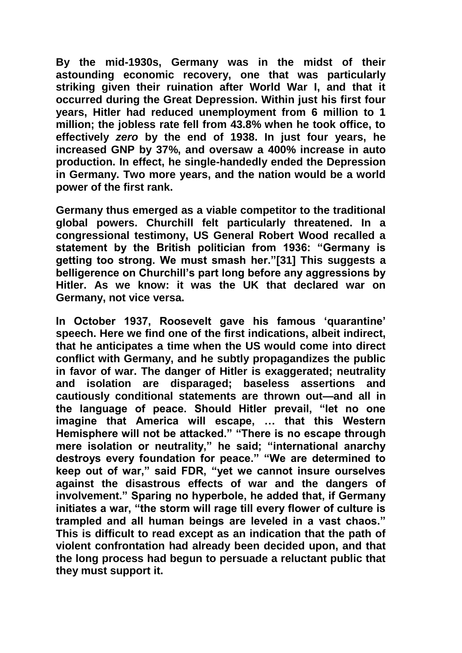**By the mid-1930s, Germany was in the midst of their astounding economic recovery, one that was particularly striking given their ruination after World War I, and that it occurred during the Great Depression. Within just his first four years, Hitler had reduced unemployment from 6 million to 1 million; the jobless rate fell from 43.8% when he took office, to effectively** *zero* **by the end of 1938. In just four years, he increased GNP by 37%, and oversaw a 400% increase in auto production. In effect, he single-handedly ended the Depression in Germany. Two more years, and the nation would be a world power of the first rank.**

**Germany thus emerged as a viable competitor to the traditional global powers. Churchill felt particularly threatened. In a congressional testimony, US General Robert Wood recalled a statement by the British politician from 1936: "Germany is getting too strong. We must smash her.["\[31\]](http://inconvenienthistory.com/6/2/3294#_edn31) This suggests a belligerence on Churchill"s part long before any aggressions by Hitler. As we know: it was the UK that declared war on Germany, not vice versa.**

**In October 1937, Roosevelt gave his famous "quarantine" speech. Here we find one of the first indications, albeit indirect, that he anticipates a time when the US would come into direct conflict with Germany, and he subtly propagandizes the public in favor of war. The danger of Hitler is exaggerated; neutrality and isolation are disparaged; baseless assertions and cautiously conditional statements are thrown out—and all in the language of peace. Should Hitler prevail, "let no one imagine that America will escape, … that this Western Hemisphere will not be attacked." "There is no escape through mere isolation or neutrality," he said; "international anarchy destroys every foundation for peace." "We are determined to keep out of war," said FDR, "yet we cannot insure ourselves against the disastrous effects of war and the dangers of involvement." Sparing no hyperbole, he added that, if Germany initiates a war, "the storm will rage till every flower of culture is trampled and all human beings are leveled in a vast chaos." This is difficult to read except as an indication that the path of violent confrontation had already been decided upon, and that the long process had begun to persuade a reluctant public that they must support it.**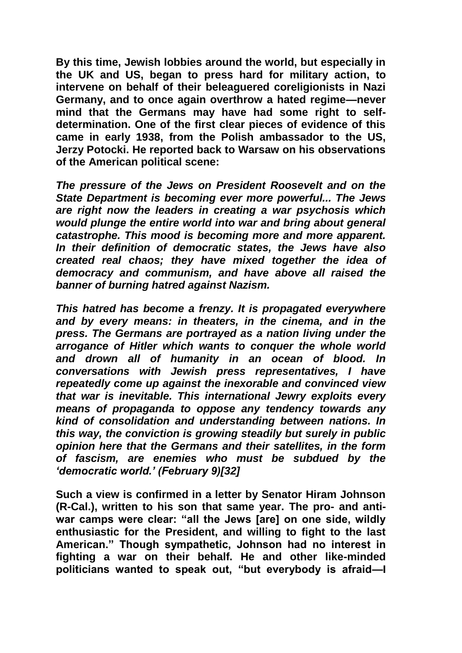**By this time, Jewish lobbies around the world, but especially in the UK and US, began to press hard for military action, to intervene on behalf of their beleaguered coreligionists in Nazi Germany, and to once again overthrow a hated regime—never mind that the Germans may have had some right to selfdetermination. One of the first clear pieces of evidence of this came in early 1938, from the Polish ambassador to the US, Jerzy Potocki. He reported back to Warsaw on his observations of the American political scene:**

*The pressure of the Jews on President Roosevelt and on the State Department is becoming ever more powerful... The Jews are right now the leaders in creating a war psychosis which would plunge the entire world into war and bring about general catastrophe. This mood is becoming more and more apparent. In their definition of democratic states, the Jews have also created real chaos; they have mixed together the idea of democracy and communism, and have above all raised the banner of burning hatred against Nazism.*

*This hatred has become a frenzy. It is propagated everywhere and by every means: in theaters, in the cinema, and in the press. The Germans are portrayed as a nation living under the arrogance of Hitler which wants to conquer the whole world and drown all of humanity in an ocean of blood. In conversations with Jewish press representatives, I have repeatedly come up against the inexorable and convinced view that war is inevitable. This international Jewry exploits every means of propaganda to oppose any tendency towards any kind of consolidation and understanding between nations. In this way, the conviction is growing steadily but surely in public opinion here that the Germans and their satellites, in the form of fascism, are enemies who must be subdued by the "democratic world." (February 9[\)\[32\]](http://inconvenienthistory.com/6/2/3294#_edn32)*

**Such a view is confirmed in a letter by Senator Hiram Johnson (R-Cal.), written to his son that same year. The pro- and antiwar camps were clear: "all the Jews [are] on one side, wildly enthusiastic for the President, and willing to fight to the last American." Though sympathetic, Johnson had no interest in fighting a war on their behalf. He and other like-minded politicians wanted to speak out, "but everybody is afraid—I**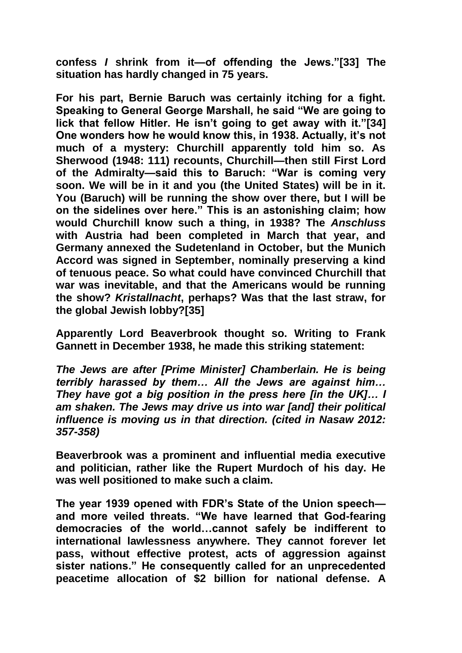**confess** *I* **shrink from it—of offending the Jews.["\[33\]](http://inconvenienthistory.com/6/2/3294#_edn33) The situation has hardly changed in 75 years.**

**For his part, Bernie Baruch was certainly itching for a fight. Speaking to General George Marshall, he said "We are going to lick that fellow Hitler. He isn"t going to get away with it.["\[34\]](http://inconvenienthistory.com/6/2/3294#_edn34) One wonders how he would know this, in 1938. Actually, it"s not much of a mystery: Churchill apparently told him so. As Sherwood (1948: 111) recounts, Churchill—then still First Lord of the Admiralty—said this to Baruch: "War is coming very soon. We will be in it and you (the United States) will be in it. You (Baruch) will be running the show over there, but I will be on the sidelines over here." This is an astonishing claim; how would Churchill know such a thing, in 1938? The** *Anschluss* **with Austria had been completed in March that year, and Germany annexed the Sudetenland in October, but the Munich Accord was signed in September, nominally preserving a kind of tenuous peace. So what could have convinced Churchill that war was inevitable, and that the Americans would be running the show?** *Kristallnacht***, perhaps? Was that the last straw, for the global Jewish lobby[?\[35\]](http://inconvenienthistory.com/6/2/3294#_edn35)**

**Apparently Lord Beaverbrook thought so. Writing to Frank Gannett in December 1938, he made this striking statement:**

*The Jews are after [Prime Minister] Chamberlain. He is being terribly harassed by them… All the Jews are against him… They have got a big position in the press here [in the UK]… I am shaken. The Jews may drive us into war [and] their political influence is moving us in that direction. (cited in Nasaw 2012: 357-358)*

**Beaverbrook was a prominent and influential media executive and politician, rather like the Rupert Murdoch of his day. He was well positioned to make such a claim.**

**The year 1939 opened with FDR"s State of the Union speech and more veiled threats. "We have learned that God-fearing democracies of the world…cannot safely be indifferent to international lawlessness anywhere. They cannot forever let pass, without effective protest, acts of aggression against sister nations." He consequently called for an unprecedented peacetime allocation of \$2 billion for national defense. A**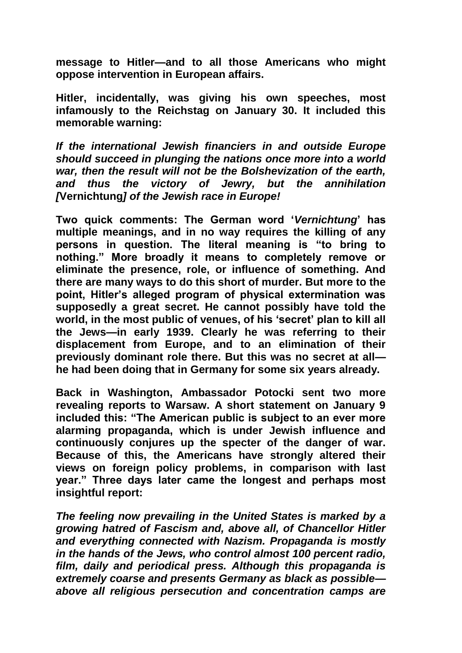**message to Hitler—and to all those Americans who might oppose intervention in European affairs.**

**Hitler, incidentally, was giving his own speeches, most infamously to the Reichstag on January 30. It included this memorable warning:**

*If the international Jewish financiers in and outside Europe should succeed in plunging the nations once more into a world war, then the result will not be the Bolshevization of the earth, and thus the victory of Jewry, but the annihilation [***Vernichtung***] of the Jewish race in Europe!*

**Two quick comments: The German word "***Vernichtung***" has multiple meanings, and in no way requires the killing of any persons in question. The literal meaning is "to bring to nothing." More broadly it means to completely remove or eliminate the presence, role, or influence of something. And there are many ways to do this short of murder. But more to the point, Hitler"s alleged program of physical extermination was supposedly a great secret. He cannot possibly have told the world, in the most public of venues, of his "secret" plan to kill all the Jews—in early 1939. Clearly he was referring to their displacement from Europe, and to an elimination of their previously dominant role there. But this was no secret at all he had been doing that in Germany for some six years already.**

**Back in Washington, Ambassador Potocki sent two more revealing reports to Warsaw. A short statement on January 9 included this: "The American public is subject to an ever more alarming propaganda, which is under Jewish influence and continuously conjures up the specter of the danger of war. Because of this, the Americans have strongly altered their views on foreign policy problems, in comparison with last year." Three days later came the longest and perhaps most insightful report:**

*The feeling now prevailing in the United States is marked by a growing hatred of Fascism and, above all, of Chancellor Hitler and everything connected with Nazism. Propaganda is mostly in the hands of the Jews, who control almost 100 percent radio, film, daily and periodical press. Although this propaganda is extremely coarse and presents Germany as black as possible above all religious persecution and concentration camps are*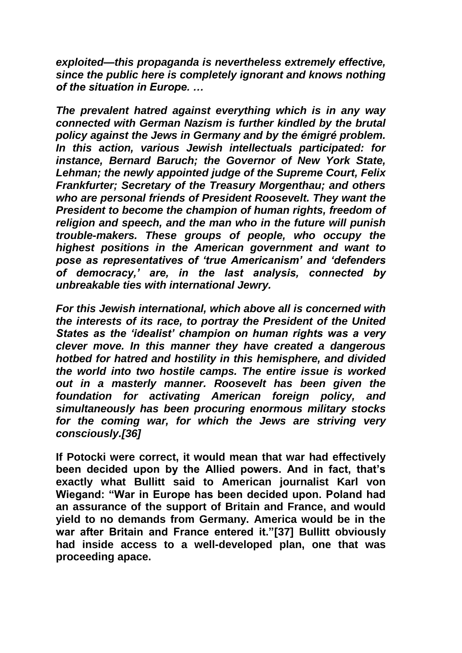*exploited—this propaganda is nevertheless extremely effective, since the public here is completely ignorant and knows nothing of the situation in Europe. …*

*The prevalent hatred against everything which is in any way connected with German Nazism is further kindled by the brutal policy against the Jews in Germany and by the émigré problem. In this action, various Jewish intellectuals participated: for instance, Bernard Baruch; the Governor of New York State, Lehman; the newly appointed judge of the Supreme Court, Felix Frankfurter; Secretary of the Treasury Morgenthau; and others who are personal friends of President Roosevelt. They want the President to become the champion of human rights, freedom of religion and speech, and the man who in the future will punish trouble-makers. These groups of people, who occupy the highest positions in the American government and want to pose as representatives of "true Americanism" and "defenders of democracy," are, in the last analysis, connected by unbreakable ties with international Jewry.*

*For this Jewish international, which above all is concerned with the interests of its race, to portray the President of the United States as the "idealist" champion on human rights was a very clever move. In this manner they have created a dangerous hotbed for hatred and hostility in this hemisphere, and divided the world into two hostile camps. The entire issue is worked out in a masterly manner. Roosevelt has been given the foundation for activating American foreign policy, and simultaneously has been procuring enormous military stocks for the coming war, for which the Jews are striving very consciously[.\[36\]](http://inconvenienthistory.com/6/2/3294#_edn36)*

**If Potocki were correct, it would mean that war had effectively been decided upon by the Allied powers. And in fact, that"s exactly what Bullitt said to American journalist Karl von Wiegand: "War in Europe has been decided upon. Poland had an assurance of the support of Britain and France, and would yield to no demands from Germany. America would be in the war after Britain and France entered it.["\[37\]](http://inconvenienthistory.com/6/2/3294#_edn37) Bullitt obviously had inside access to a well-developed plan, one that was proceeding apace.**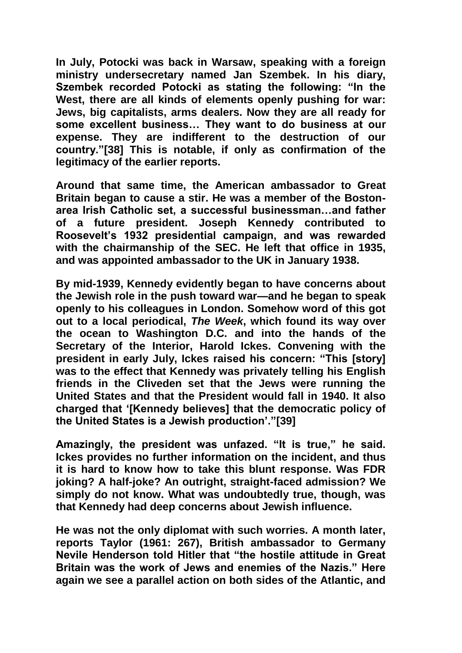**In July, Potocki was back in Warsaw, speaking with a foreign ministry undersecretary named Jan Szembek. In his diary, Szembek recorded Potocki as stating the following: "In the West, there are all kinds of elements openly pushing for war: Jews, big capitalists, arms dealers. Now they are all ready for some excellent business… They want to do business at our expense. They are indifferent to the destruction of our country.["\[38\]](http://inconvenienthistory.com/6/2/3294#_edn38) This is notable, if only as confirmation of the legitimacy of the earlier reports.**

**Around that same time, the American ambassador to Great Britain began to cause a stir. He was a member of the Bostonarea Irish Catholic set, a successful businessman…and father of a future president. Joseph Kennedy contributed to Roosevelt"s 1932 presidential campaign, and was rewarded with the chairmanship of the SEC. He left that office in 1935, and was appointed ambassador to the UK in January 1938.**

**By mid-1939, Kennedy evidently began to have concerns about the Jewish role in the push toward war—and he began to speak openly to his colleagues in London. Somehow word of this got out to a local periodical,** *The Week***, which found its way over the ocean to Washington D.C. and into the hands of the Secretary of the Interior, Harold Ickes. Convening with the president in early July, Ickes raised his concern: "This [story] was to the effect that Kennedy was privately telling his English friends in the Cliveden set that the Jews were running the United States and that the President would fall in 1940. It also charged that "[Kennedy believes] that the democratic policy of the United States is a Jewish production".["\[39\]](http://inconvenienthistory.com/6/2/3294#_edn39)**

**Amazingly, the president was unfazed. "It is true," he said. Ickes provides no further information on the incident, and thus it is hard to know how to take this blunt response. Was FDR joking? A half-joke? An outright, straight-faced admission? We simply do not know. What was undoubtedly true, though, was that Kennedy had deep concerns about Jewish influence.**

**He was not the only diplomat with such worries. A month later, reports Taylor (1961: 267), British ambassador to Germany Nevile Henderson told Hitler that "the hostile attitude in Great Britain was the work of Jews and enemies of the Nazis." Here again we see a parallel action on both sides of the Atlantic, and**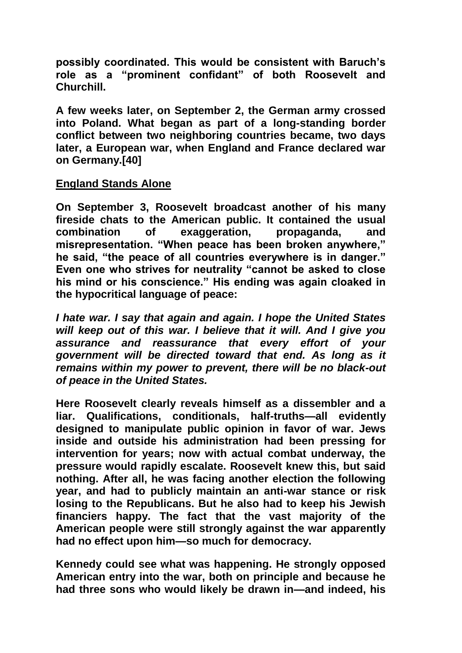**possibly coordinated. This would be consistent with Baruch"s role as a "prominent confidant" of both Roosevelt and Churchill.**

**A few weeks later, on September 2, the German army crossed into Poland. What began as part of a long-standing border conflict between two neighboring countries became, two days later, a European war, when England and France declared war on Germany[.\[40\]](http://inconvenienthistory.com/6/2/3294#_edn40)**

#### **England Stands Alone**

**On September 3, Roosevelt broadcast another of his many fireside chats to the American public. It contained the usual combination of exaggeration, propaganda, and misrepresentation. "When peace has been broken anywhere," he said, "the peace of all countries everywhere is in danger." Even one who strives for neutrality "cannot be asked to close his mind or his conscience." His ending was again cloaked in the hypocritical language of peace:**

*I hate war. I say that again and again. I hope the United States will keep out of this war. I believe that it will. And I give you assurance and reassurance that every effort of your government will be directed toward that end. As long as it remains within my power to prevent, there will be no black-out of peace in the United States.*

**Here Roosevelt clearly reveals himself as a dissembler and a liar. Qualifications, conditionals, half-truths—all evidently designed to manipulate public opinion in favor of war. Jews inside and outside his administration had been pressing for intervention for years; now with actual combat underway, the pressure would rapidly escalate. Roosevelt knew this, but said nothing. After all, he was facing another election the following year, and had to publicly maintain an anti-war stance or risk losing to the Republicans. But he also had to keep his Jewish financiers happy. The fact that the vast majority of the American people were still strongly against the war apparently had no effect upon him—so much for democracy.**

**Kennedy could see what was happening. He strongly opposed American entry into the war, both on principle and because he had three sons who would likely be drawn in—and indeed, his**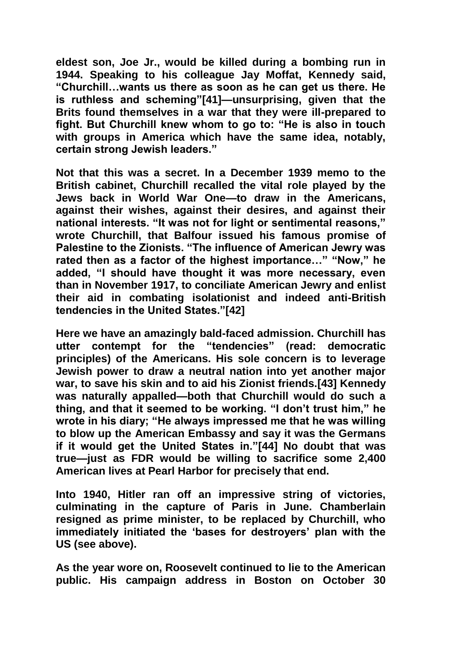**eldest son, Joe Jr., would be killed during a bombing run in 1944. Speaking to his colleague Jay Moffat, Kennedy said, "Churchill…wants us there as soon as he can get us there. He is ruthless and scheming["\[41\]—](http://inconvenienthistory.com/6/2/3294#_edn41)unsurprising, given that the Brits found themselves in a war that they were ill-prepared to fight. But Churchill knew whom to go to: "He is also in touch with groups in America which have the same idea, notably, certain strong Jewish leaders."**

**Not that this was a secret. In a December 1939 memo to the British cabinet, Churchill recalled the vital role played by the Jews back in World War One—to draw in the Americans, against their wishes, against their desires, and against their national interests. "It was not for light or sentimental reasons," wrote Churchill, that Balfour issued his famous promise of Palestine to the Zionists. "The influence of American Jewry was rated then as a factor of the highest importance…" "Now," he added, "I should have thought it was more necessary, even than in November 1917, to conciliate American Jewry and enlist their aid in combating isolationist and indeed anti-British tendencies in the United States.["\[42\]](http://inconvenienthistory.com/6/2/3294#_edn42)**

**Here we have an amazingly bald-faced admission. Churchill has utter contempt for the "tendencies" (read: democratic principles) of the Americans. His sole concern is to leverage Jewish power to draw a neutral nation into yet another major war, to save his skin and to aid his Zionist friends[.\[43\]](http://inconvenienthistory.com/6/2/3294#_edn43) Kennedy was naturally appalled—both that Churchill would do such a thing, and that it seemed to be working. "I don"t trust him," he wrote in his diary; "He always impressed me that he was willing to blow up the American Embassy and say it was the Germans if it would get the United States in.["\[44\]](http://inconvenienthistory.com/6/2/3294#_edn44) No doubt that was true—just as FDR would be willing to sacrifice some 2,400 American lives at Pearl Harbor for precisely that end.**

**Into 1940, Hitler ran off an impressive string of victories, culminating in the capture of Paris in June. Chamberlain resigned as prime minister, to be replaced by Churchill, who immediately initiated the "bases for destroyers" plan with the US (see above).**

**As the year wore on, Roosevelt continued to lie to the American public. His campaign address in Boston on October 30**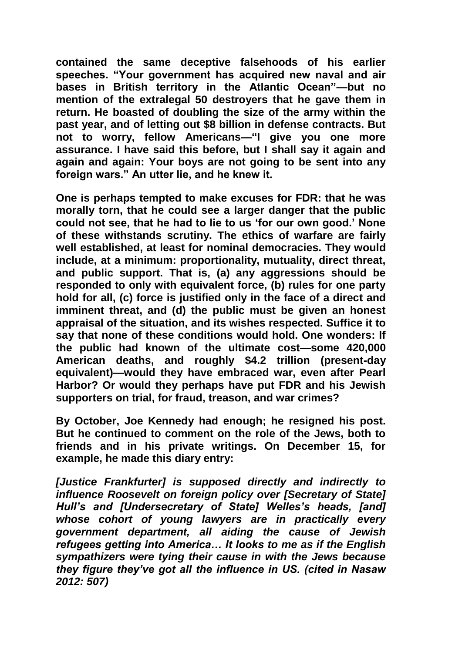**contained the same deceptive falsehoods of his earlier speeches. "Your government has acquired new naval and air bases in British territory in the Atlantic Ocean"—but no mention of the extralegal 50 destroyers that he gave them in return. He boasted of doubling the size of the army within the past year, and of letting out \$8 billion in defense contracts. But not to worry, fellow Americans—"I give you one more assurance. I have said this before, but I shall say it again and again and again: Your boys are not going to be sent into any foreign wars." An utter lie, and he knew it.**

**One is perhaps tempted to make excuses for FDR: that he was morally torn, that he could see a larger danger that the public could not see, that he had to lie to us "for our own good." None of these withstands scrutiny. The ethics of warfare are fairly well established, at least for nominal democracies. They would include, at a minimum: proportionality, mutuality, direct threat, and public support. That is, (a) any aggressions should be responded to only with equivalent force, (b) rules for one party hold for all, (c) force is justified only in the face of a direct and imminent threat, and (d) the public must be given an honest appraisal of the situation, and its wishes respected. Suffice it to say that none of these conditions would hold. One wonders: If the public had known of the ultimate cost—some 420,000 American deaths, and roughly \$4.2 trillion (present-day equivalent)—would they have embraced war, even after Pearl Harbor? Or would they perhaps have put FDR and his Jewish supporters on trial, for fraud, treason, and war crimes?**

**By October, Joe Kennedy had enough; he resigned his post. But he continued to comment on the role of the Jews, both to friends and in his private writings. On December 15, for example, he made this diary entry:**

*[Justice Frankfurter] is supposed directly and indirectly to influence Roosevelt on foreign policy over [Secretary of State] Hull"s and [Undersecretary of State] Welles"s heads, [and] whose cohort of young lawyers are in practically every government department, all aiding the cause of Jewish refugees getting into America… It looks to me as if the English sympathizers were tying their cause in with the Jews because they figure they"ve got all the influence in US. (cited in Nasaw 2012: 507)*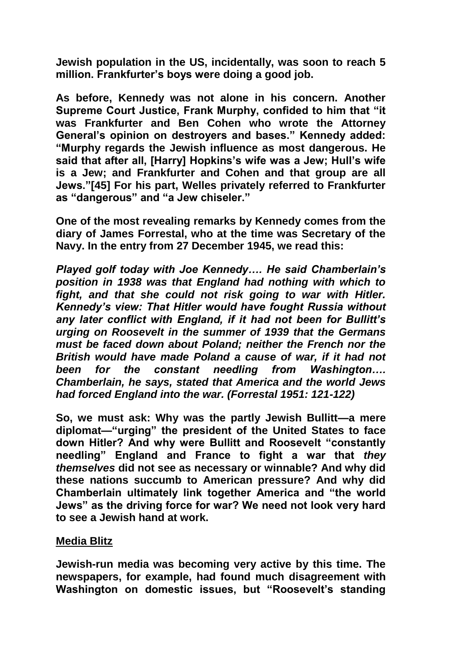**Jewish population in the US, incidentally, was soon to reach 5 million. Frankfurter"s boys were doing a good job.**

**As before, Kennedy was not alone in his concern. Another Supreme Court Justice, Frank Murphy, confided to him that "it was Frankfurter and Ben Cohen who wrote the Attorney General"s opinion on destroyers and bases." Kennedy added: "Murphy regards the Jewish influence as most dangerous. He said that after all, [Harry] Hopkins"s wife was a Jew; Hull"s wife is a Jew; and Frankfurter and Cohen and that group are all Jews.["\[45\]](http://inconvenienthistory.com/6/2/3294#_edn45) For his part, Welles privately referred to Frankfurter as "dangerous" and "a Jew chiseler."**

**One of the most revealing remarks by Kennedy comes from the diary of James Forrestal, who at the time was Secretary of the Navy. In the entry from 27 December 1945, we read this:**

*Played golf today with Joe Kennedy…. He said Chamberlain"s position in 1938 was that England had nothing with which to fight, and that she could not risk going to war with Hitler. Kennedy"s view: That Hitler would have fought Russia without any later conflict with England, if it had not been for Bullitt"s urging on Roosevelt in the summer of 1939 that the Germans must be faced down about Poland; neither the French nor the British would have made Poland a cause of war, if it had not been for the constant needling from Washington…. Chamberlain, he says, stated that America and the world Jews had forced England into the war. (Forrestal 1951: 121-122)*

**So, we must ask: Why was the partly Jewish Bullitt—a mere diplomat—"urging" the president of the United States to face down Hitler? And why were Bullitt and Roosevelt "constantly needling" England and France to fight a war that** *they themselves* **did not see as necessary or winnable? And why did these nations succumb to American pressure? And why did Chamberlain ultimately link together America and "the world Jews" as the driving force for war? We need not look very hard to see a Jewish hand at work.**

#### **Media Blitz**

**Jewish-run media was becoming very active by this time. The newspapers, for example, had found much disagreement with Washington on domestic issues, but "Roosevelt"s standing**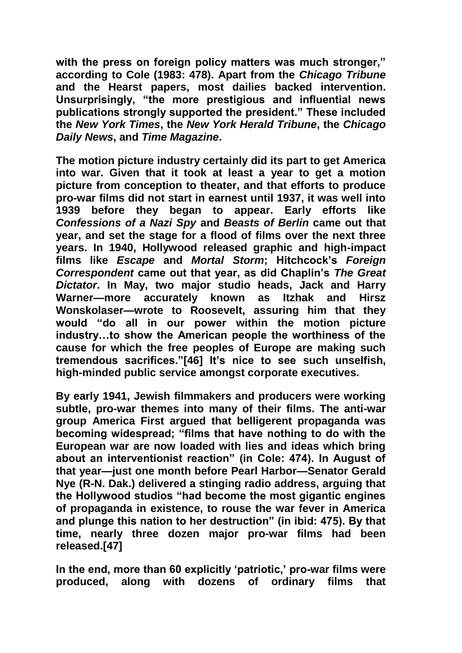**with the press on foreign policy matters was much stronger," according to Cole (1983: 478). Apart from the** *Chicago Tribune* **and the Hearst papers, most dailies backed intervention. Unsurprisingly, "the more prestigious and influential news publications strongly supported the president." These included the** *New York Times***, the** *New York Herald Tribune***, the** *Chicago Daily News***, and** *Time Magazine***.**

**The motion picture industry certainly did its part to get America into war. Given that it took at least a year to get a motion picture from conception to theater, and that efforts to produce pro-war films did not start in earnest until 1937, it was well into 1939 before they began to appear. Early efforts like**  *Confessions of a Nazi Spy* **and** *Beasts of Berlin* **came out that year, and set the stage for a flood of films over the next three years. In 1940, Hollywood released graphic and high-impact films like** *Escape* **and** *Mortal Storm***; Hitchcock"s** *Foreign Correspondent* **came out that year, as did Chaplin"s** *The Great Dictator***. In May, two major studio heads, Jack and Harry Warner—more accurately known as Itzhak and Hirsz Wonskolaser—wrote to Roosevelt, assuring him that they would "do all in our power within the motion picture industry…to show the American people the worthiness of the cause for which the free peoples of Europe are making such tremendous sacrifices.["\[46\]](http://inconvenienthistory.com/6/2/3294#_edn46) It"s nice to see such unselfish, high-minded public service amongst corporate executives.**

**By early 1941, Jewish filmmakers and producers were working subtle, pro-war themes into many of their films. The anti-war group America First argued that belligerent propaganda was becoming widespread; "films that have nothing to do with the European war are now loaded with lies and ideas which bring about an interventionist reaction" (in Cole: 474). In August of that year—just one month before Pearl Harbor—Senator Gerald Nye (R-N. Dak.) delivered a stinging radio address, arguing that the Hollywood studios "had become the most gigantic engines of propaganda in existence, to rouse the war fever in America and plunge this nation to her destruction" (in ibid: 475). By that time, nearly three dozen major pro-war films had been released[.\[47\]](http://inconvenienthistory.com/6/2/3294#_edn47)**

**In the end, more than 60 explicitly "patriotic," pro-war films were produced, along with dozens of ordinary films that**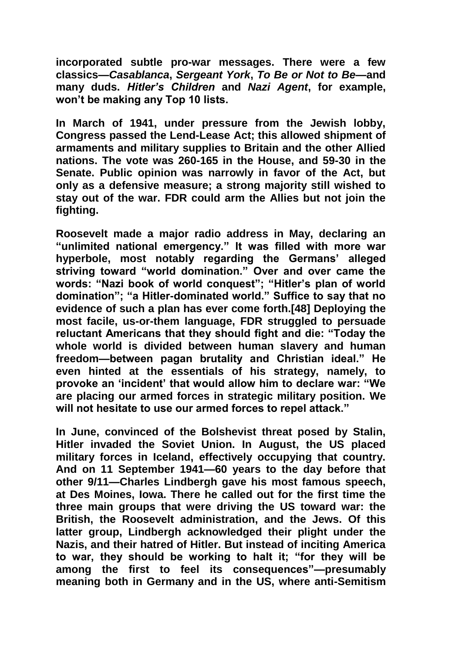**incorporated subtle pro-war messages. There were a few classics—***Casablanca***,** *Sergeant York***,** *To Be or Not to Be***—and many duds.** *Hitler"s Children* **and** *Nazi Agent***, for example, won"t be making any Top 10 lists.**

**In March of 1941, under pressure from the Jewish lobby, Congress passed the Lend-Lease Act; this allowed shipment of armaments and military supplies to Britain and the other Allied nations. The vote was 260-165 in the House, and 59-30 in the Senate. Public opinion was narrowly in favor of the Act, but only as a defensive measure; a strong majority still wished to stay out of the war. FDR could arm the Allies but not join the fighting.**

**Roosevelt made a major radio address in May, declaring an "unlimited national emergency." It was filled with more war hyperbole, most notably regarding the Germans" alleged striving toward "world domination." Over and over came the words: "Nazi book of world conquest"; "Hitler"s plan of world domination"; "a Hitler-dominated world." Suffice to say that no evidence of such a plan has ever come forth[.\[48\]](http://inconvenienthistory.com/6/2/3294#_edn48) Deploying the most facile, us-or-them language, FDR struggled to persuade reluctant Americans that they should fight and die: "Today the whole world is divided between human slavery and human freedom—between pagan brutality and Christian ideal." He even hinted at the essentials of his strategy, namely, to provoke an "incident" that would allow him to declare war: "We are placing our armed forces in strategic military position. We will not hesitate to use our armed forces to repel attack."**

**In June, convinced of the Bolshevist threat posed by Stalin, Hitler invaded the Soviet Union. In August, the US placed military forces in Iceland, effectively occupying that country. And on 11 September 1941—60 years to the day before that other 9/11—Charles Lindbergh gave his most famous speech, at Des Moines, Iowa. There he called out for the first time the three main groups that were driving the US toward war: the British, the Roosevelt administration, and the Jews. Of this latter group, Lindbergh acknowledged their plight under the Nazis, and their hatred of Hitler. But instead of inciting America to war, they should be working to halt it; "for they will be among the first to feel its consequences"—presumably meaning both in Germany and in the US, where anti-Semitism**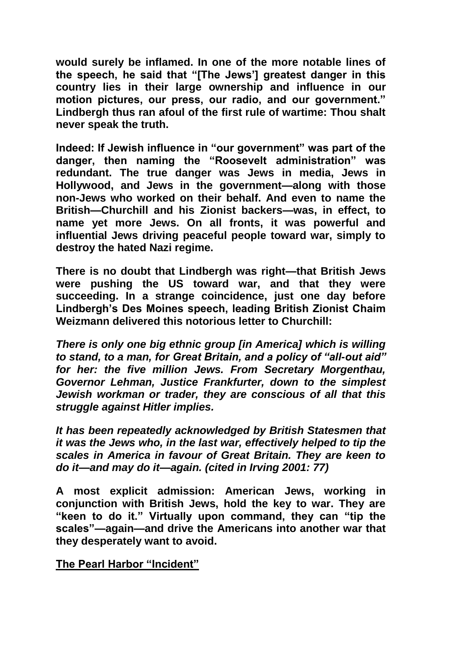**would surely be inflamed. In one of the more notable lines of the speech, he said that "[The Jews"] greatest danger in this country lies in their large ownership and influence in our motion pictures, our press, our radio, and our government." Lindbergh thus ran afoul of the first rule of wartime: Thou shalt never speak the truth.**

**Indeed: If Jewish influence in "our government" was part of the danger, then naming the "Roosevelt administration" was redundant. The true danger was Jews in media, Jews in Hollywood, and Jews in the government—along with those non-Jews who worked on their behalf. And even to name the British—Churchill and his Zionist backers—was, in effect, to name yet more Jews. On all fronts, it was powerful and influential Jews driving peaceful people toward war, simply to destroy the hated Nazi regime.**

**There is no doubt that Lindbergh was right—that British Jews were pushing the US toward war, and that they were succeeding. In a strange coincidence, just one day before Lindbergh"s Des Moines speech, leading British Zionist Chaim Weizmann delivered this notorious letter to Churchill:**

*There is only one big ethnic group [in America] which is willing to stand, to a man, for Great Britain, and a policy of "all-out aid" for her: the five million Jews. From Secretary Morgenthau, Governor Lehman, Justice Frankfurter, down to the simplest Jewish workman or trader, they are conscious of all that this struggle against Hitler implies.*

*It has been repeatedly acknowledged by British Statesmen that it was the Jews who, in the last war, effectively helped to tip the scales in America in favour of Great Britain. They are keen to do it—and may do it—again. (cited in Irving 2001: 77)*

**A most explicit admission: American Jews, working in conjunction with British Jews, hold the key to war. They are "keen to do it." Virtually upon command, they can "tip the scales"—again—and drive the Americans into another war that they desperately want to avoid.**

**The Pearl Harbor "Incident"**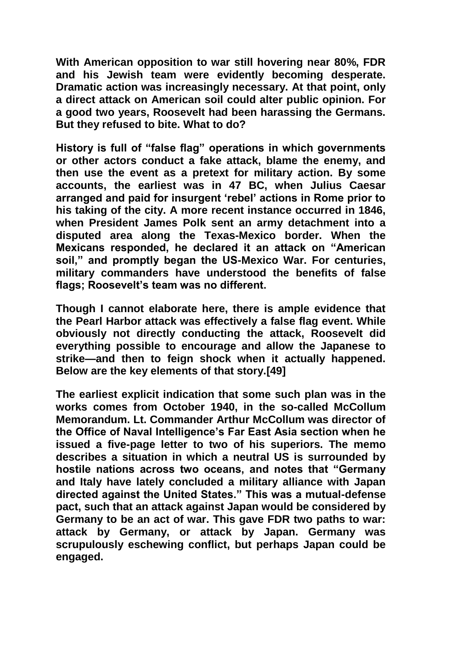**With American opposition to war still hovering near 80%, FDR and his Jewish team were evidently becoming desperate. Dramatic action was increasingly necessary. At that point, only a direct attack on American soil could alter public opinion. For a good two years, Roosevelt had been harassing the Germans. But they refused to bite. What to do?**

**History is full of "false flag" operations in which governments or other actors conduct a fake attack, blame the enemy, and then use the event as a pretext for military action. By some accounts, the earliest was in 47 BC, when Julius Caesar arranged and paid for insurgent "rebel" actions in Rome prior to his taking of the city. A more recent instance occurred in 1846, when President James Polk sent an army detachment into a disputed area along the Texas-Mexico border. When the Mexicans responded, he declared it an attack on "American soil," and promptly began the US-Mexico War. For centuries, military commanders have understood the benefits of false flags; Roosevelt"s team was no different.**

**Though I cannot elaborate here, there is ample evidence that the Pearl Harbor attack was effectively a false flag event. While obviously not directly conducting the attack, Roosevelt did everything possible to encourage and allow the Japanese to strike—and then to feign shock when it actually happened. Below are the key elements of that story[.\[49\]](http://inconvenienthistory.com/6/2/3294#_edn49)**

**The earliest explicit indication that some such plan was in the works comes from October 1940, in the so-called McCollum Memorandum. Lt. Commander Arthur McCollum was director of the Office of Naval Intelligence"s Far East Asia section when he issued a five-page letter to two of his superiors. The memo describes a situation in which a neutral US is surrounded by hostile nations across two oceans, and notes that "Germany and Italy have lately concluded a military alliance with Japan directed against the United States." This was a mutual-defense pact, such that an attack against Japan would be considered by Germany to be an act of war. This gave FDR two paths to war: attack by Germany, or attack by Japan. Germany was scrupulously eschewing conflict, but perhaps Japan could be engaged.**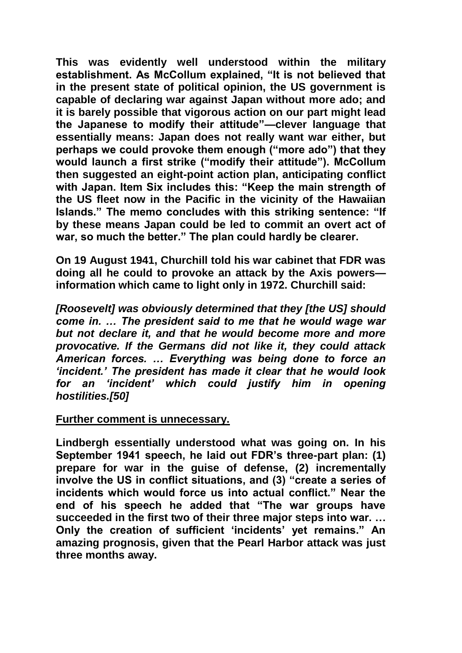**This was evidently well understood within the military establishment. As McCollum explained, "It is not believed that in the present state of political opinion, the US government is capable of declaring war against Japan without more ado; and it is barely possible that vigorous action on our part might lead the Japanese to modify their attitude"—clever language that essentially means: Japan does not really want war either, but perhaps we could provoke them enough ("more ado") that they would launch a first strike ("modify their attitude"). McCollum then suggested an eight-point action plan, anticipating conflict with Japan. Item Six includes this: "Keep the main strength of the US fleet now in the Pacific in the vicinity of the Hawaiian Islands." The memo concludes with this striking sentence: "If by these means Japan could be led to commit an overt act of war, so much the better." The plan could hardly be clearer.**

**On 19 August 1941, Churchill told his war cabinet that FDR was doing all he could to provoke an attack by the Axis powers information which came to light only in 1972. Churchill said:**

*[Roosevelt] was obviously determined that they [the US] should come in. … The president said to me that he would wage war but not declare it, and that he would become more and more provocative. If the Germans did not like it, they could attack American forces. … Everything was being done to force an "incident." The president has made it clear that he would look for an "incident" which could justify him in opening hostilities[.\[50\]](http://inconvenienthistory.com/6/2/3294#_edn50)*

#### **Further comment is unnecessary.**

**Lindbergh essentially understood what was going on. In his September 1941 speech, he laid out FDR"s three-part plan: (1) prepare for war in the guise of defense, (2) incrementally involve the US in conflict situations, and (3) "create a series of incidents which would force us into actual conflict." Near the end of his speech he added that "The war groups have succeeded in the first two of their three major steps into war. … Only the creation of sufficient "incidents" yet remains." An amazing prognosis, given that the Pearl Harbor attack was just three months away.**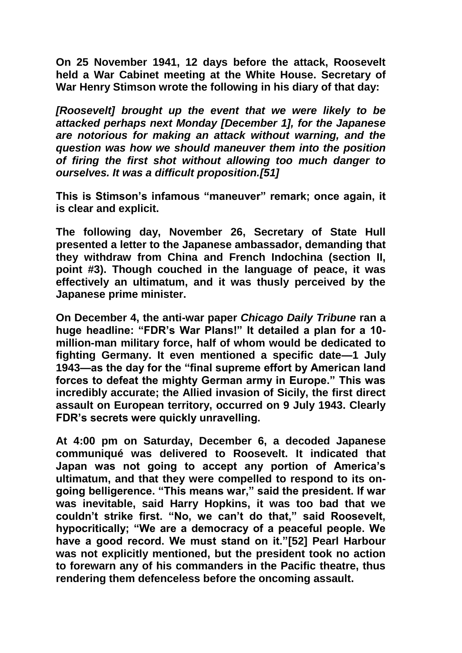**On 25 November 1941, 12 days before the attack, Roosevelt held a War Cabinet meeting at the White House. Secretary of War Henry Stimson wrote the following in his diary of that day:**

*[Roosevelt] brought up the event that we were likely to be attacked perhaps next Monday [December 1], for the Japanese are notorious for making an attack without warning, and the question was how we should maneuver them into the position of firing the first shot without allowing too much danger to ourselves. It was a difficult proposition[.\[51\]](http://inconvenienthistory.com/6/2/3294#_edn51)*

**This is Stimson"s infamous "maneuver" remark; once again, it is clear and explicit.**

**The following day, November 26, Secretary of State Hull presented a letter to the Japanese ambassador, demanding that they withdraw from China and French Indochina (section II, point #3). Though couched in the language of peace, it was effectively an ultimatum, and it was thusly perceived by the Japanese prime minister.**

**On December 4, the anti-war paper** *Chicago Daily Tribune* **ran a huge headline: "FDR"s War Plans!" It detailed a plan for a 10 million-man military force, half of whom would be dedicated to fighting Germany. It even mentioned a specific date—1 July 1943—as the day for the "final supreme effort by American land forces to defeat the mighty German army in Europe." This was incredibly accurate; the Allied invasion of Sicily, the first direct assault on European territory, occurred on 9 July 1943. Clearly FDR"s secrets were quickly unravelling.**

**At 4:00 pm on Saturday, December 6, a decoded Japanese communiqué was delivered to Roosevelt. It indicated that Japan was not going to accept any portion of America"s ultimatum, and that they were compelled to respond to its ongoing belligerence. "This means war," said the president. If war was inevitable, said Harry Hopkins, it was too bad that we couldn"t strike first. "No, we can"t do that," said Roosevelt, hypocritically; "We are a democracy of a peaceful people. We have a good record. We must stand on it.["\[52\]](http://inconvenienthistory.com/6/2/3294#_edn52) Pearl Harbour was not explicitly mentioned, but the president took no action to forewarn any of his commanders in the Pacific theatre, thus rendering them defenceless before the oncoming assault.**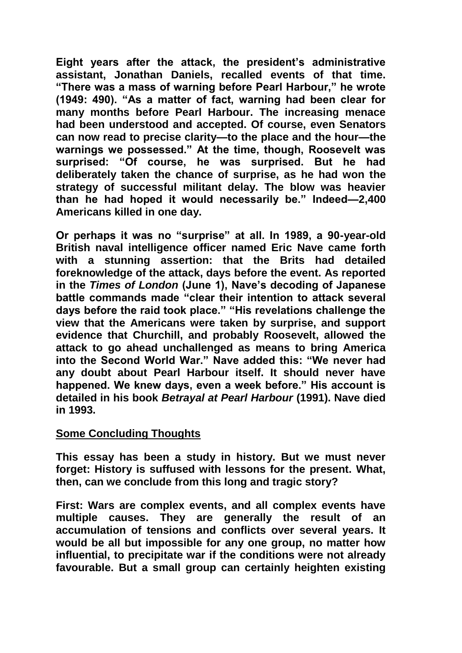**Eight years after the attack, the president"s administrative assistant, Jonathan Daniels, recalled events of that time. "There was a mass of warning before Pearl Harbour," he wrote (1949: 490). "As a matter of fact, warning had been clear for many months before Pearl Harbour. The increasing menace had been understood and accepted. Of course, even Senators can now read to precise clarity—to the place and the hour—the warnings we possessed." At the time, though, Roosevelt was surprised: "Of course, he was surprised. But he had deliberately taken the chance of surprise, as he had won the strategy of successful militant delay. The blow was heavier than he had hoped it would necessarily be." Indeed—2,400 Americans killed in one day.**

**Or perhaps it was no "surprise" at all. In 1989, a 90-year-old British naval intelligence officer named Eric Nave came forth with a stunning assertion: that the Brits had detailed foreknowledge of the attack, days before the event. As reported in the** *Times of London* **(June 1), Nave"s decoding of Japanese battle commands made "clear their intention to attack several days before the raid took place." "His revelations challenge the view that the Americans were taken by surprise, and support evidence that Churchill, and probably Roosevelt, allowed the attack to go ahead unchallenged as means to bring America into the Second World War." Nave added this: "We never had any doubt about Pearl Harbour itself. It should never have happened. We knew days, even a week before." His account is detailed in his book** *Betrayal at Pearl Harbour* **(1991). Nave died in 1993.**

### **Some Concluding Thoughts**

**This essay has been a study in history. But we must never forget: History is suffused with lessons for the present. What, then, can we conclude from this long and tragic story?**

**First: Wars are complex events, and all complex events have multiple causes. They are generally the result of an accumulation of tensions and conflicts over several years. It would be all but impossible for any one group, no matter how influential, to precipitate war if the conditions were not already favourable. But a small group can certainly heighten existing**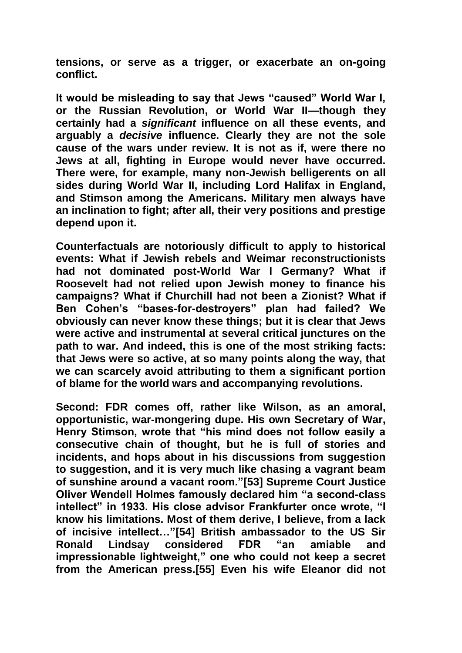**tensions, or serve as a trigger, or exacerbate an on-going conflict.**

**It would be misleading to say that Jews "caused" World War I, or the Russian Revolution, or World War II—though they certainly had a** *significant* **influence on all these events, and arguably a** *decisive* **influence. Clearly they are not the sole cause of the wars under review. It is not as if, were there no Jews at all, fighting in Europe would never have occurred. There were, for example, many non-Jewish belligerents on all sides during World War II, including Lord Halifax in England, and Stimson among the Americans. Military men always have an inclination to fight; after all, their very positions and prestige depend upon it.**

**Counterfactuals are notoriously difficult to apply to historical events: What if Jewish rebels and Weimar reconstructionists had not dominated post-World War I Germany? What if Roosevelt had not relied upon Jewish money to finance his campaigns? What if Churchill had not been a Zionist? What if Ben Cohen"s "bases-for-destroyers" plan had failed? We obviously can never know these things; but it is clear that Jews were active and instrumental at several critical junctures on the path to war. And indeed, this is one of the most striking facts: that Jews were so active, at so many points along the way, that we can scarcely avoid attributing to them a significant portion of blame for the world wars and accompanying revolutions.**

**Second: FDR comes off, rather like Wilson, as an amoral, opportunistic, war-mongering dupe. His own Secretary of War, Henry Stimson, wrote that "his mind does not follow easily a consecutive chain of thought, but he is full of stories and incidents, and hops about in his discussions from suggestion to suggestion, and it is very much like chasing a vagrant beam of sunshine around a vacant room.["\[53\]](http://inconvenienthistory.com/6/2/3294#_edn53) Supreme Court Justice Oliver Wendell Holmes famously declared him "a second-class intellect" in 1933. His close advisor Frankfurter once wrote, "I know his limitations. Most of them derive, I believe, from a lack of incisive intellect…["\[54\]](http://inconvenienthistory.com/6/2/3294#_edn54) British ambassador to the US Sir Ronald Lindsay considered FDR "an amiable and impressionable lightweight," one who could not keep a secret from the American press[.\[55\]](http://inconvenienthistory.com/6/2/3294#_edn55) Even his wife Eleanor did not**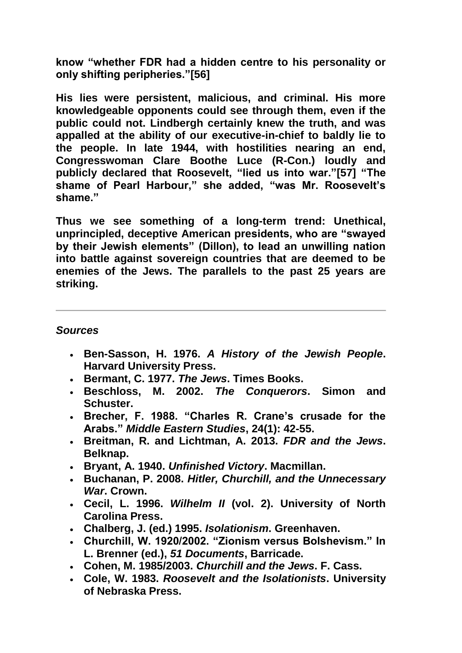**know "whether FDR had a hidden centre to his personality or only shifting peripheries.["\[56\]](http://inconvenienthistory.com/6/2/3294#_edn56)**

**His lies were persistent, malicious, and criminal. His more knowledgeable opponents could see through them, even if the public could not. Lindbergh certainly knew the truth, and was appalled at the ability of our executive-in-chief to baldly lie to the people. In late 1944, with hostilities nearing an end, Congresswoman Clare Boothe Luce (R-Con.) loudly and publicly declared that Roosevelt, "lied us into war.["\[57\]](http://inconvenienthistory.com/6/2/3294#_edn57) "The shame of Pearl Harbour," she added, "was Mr. Roosevelt"s shame."**

**Thus we see something of a long-term trend: Unethical, unprincipled, deceptive American presidents, who are "swayed by their Jewish elements" (Dillon), to lead an unwilling nation into battle against sovereign countries that are deemed to be enemies of the Jews. The parallels to the past 25 years are striking.**

#### *Sources*

- **Ben-Sasson, H. 1976.** *A History of the Jewish People***. Harvard University Press.**
- **Bermant, C. 1977.** *The Jews***. Times Books.**
- **Beschloss, M. 2002.** *The Conquerors***. Simon and Schuster.**
- **Brecher, F. 1988. "Charles R. Crane"s crusade for the Arabs."** *Middle Eastern Studies***, 24(1): 42-55.**
- **Breitman, R. and Lichtman, A. 2013.** *FDR and the Jews***. Belknap.**
- **Bryant, A. 1940.** *Unfinished Victory***. Macmillan.**
- **Buchanan, P. 2008.** *Hitler, Churchill, and the Unnecessary War***. Crown.**
- **Cecil, L. 1996.** *Wilhelm II* **(vol. 2). University of North Carolina Press.**
- **Chalberg, J. (ed.) 1995.** *Isolationism***. Greenhaven.**
- **Churchill, W. 1920/2002. "Zionism versus Bolshevism." In L. Brenner (ed.),** *51 Documents***, Barricade.**
- **Cohen, M. 1985/2003.** *Churchill and the Jews***. F. Cass.**
- **Cole, W. 1983.** *Roosevelt and the Isolationists***. University of Nebraska Press.**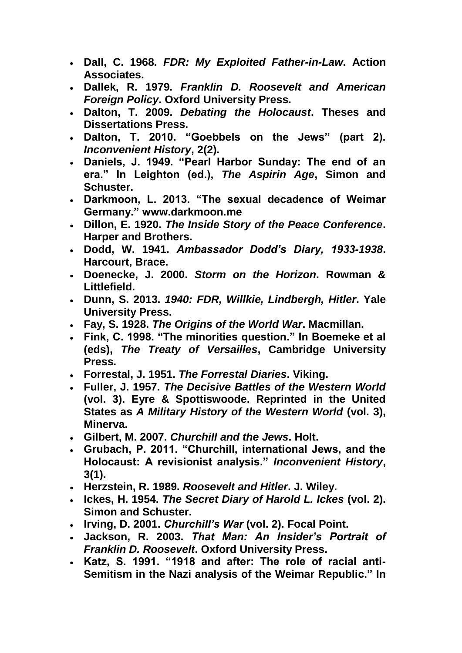- **Dall, C. 1968.** *FDR: My Exploited Father-in-Law***. Action Associates.**
- **Dallek, R. 1979.** *Franklin D. Roosevelt and American Foreign Policy***. Oxford University Press.**
- **Dalton, T. 2009.** *Debating the Holocaust***. Theses and Dissertations Press.**
- **Dalton, T. 2010. "Goebbels on the Jews" (part 2).**  *Inconvenient History***, 2(2).**
- **Daniels, J. 1949. "Pearl Harbor Sunday: The end of an era." In Leighton (ed.),** *The Aspirin Age***, Simon and Schuster.**
- **Darkmoon, L. 2013. "The sexual decadence of Weimar Germany." www.darkmoon.me**
- **Dillon, E. 1920.** *The Inside Story of the Peace Conference***. Harper and Brothers.**
- **Dodd, W. 1941.** *Ambassador Dodd"s Diary, 1933-1938***. Harcourt, Brace.**
- **Doenecke, J. 2000.** *Storm on the Horizon***. Rowman & Littlefield.**
- **Dunn, S. 2013.** *1940: FDR, Willkie, Lindbergh, Hitler***. Yale University Press.**
- **Fay, S. 1928.** *The Origins of the World War***. Macmillan.**
- **Fink, C. 1998. "The minorities question." In Boemeke et al (eds),** *The Treaty of Versailles***, Cambridge University Press.**
- **Forrestal, J. 1951.** *The Forrestal Diaries***. Viking.**
- **Fuller, J. 1957.** *The Decisive Battles of the Western World* **(vol. 3). Eyre & Spottiswoode. Reprinted in the United States as** *A Military History of the Western World* **(vol. 3), Minerva.**
- **Gilbert, M. 2007.** *Churchill and the Jews***. Holt.**
- **Grubach, P. 2011. "Churchill, international Jews, and the Holocaust: A revisionist analysis."** *Inconvenient History***, 3(1).**
- **Herzstein, R. 1989.** *Roosevelt and Hitler***. J. Wiley.**
- **Ickes, H. 1954.** *The Secret Diary of Harold L. Ickes* **(vol. 2). Simon and Schuster.**
- **Irving, D. 2001.** *Churchill"s War* **(vol. 2). Focal Point.**
- **Jackson, R. 2003.** *That Man: An Insider"s Portrait of Franklin D. Roosevelt***. Oxford University Press.**
- **Katz, S. 1991. "1918 and after: The role of racial anti-Semitism in the Nazi analysis of the Weimar Republic." In**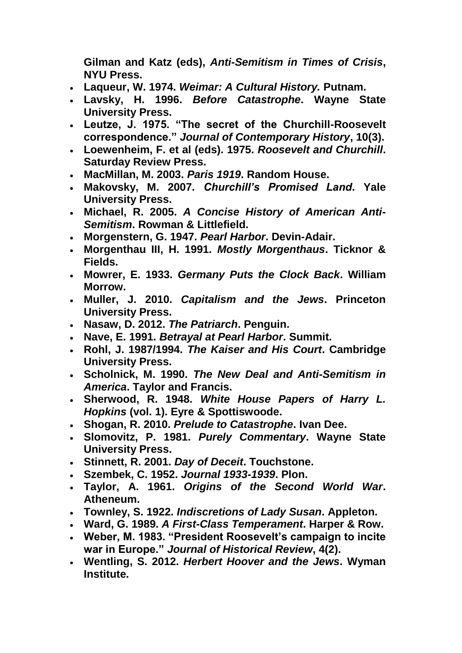**Gilman and Katz (eds),** *Anti-Semitism in Times of Crisis***, NYU Press.**

- **Laqueur, W. 1974.** *Weimar: A Cultural History.* **Putnam.**
- **Lavsky, H. 1996.** *Before Catastrophe***. Wayne State University Press.**
- **Leutze, J. 1975. "The secret of the Churchill-Roosevelt correspondence."** *Journal of Contemporary History***, 10(3).**
- **Loewenheim, F. et al (eds). 1975.** *Roosevelt and Churchill***. Saturday Review Press.**
- **MacMillan, M. 2003.** *Paris 1919***. Random House.**
- **Makovsky, M. 2007.** *Churchill"s Promised Land***. Yale University Press.**
- **Michael, R. 2005.** *A Concise History of American Anti-Semitism***. Rowman & Littlefield.**
- **Morgenstern, G. 1947.** *Pearl Harbor***. Devin-Adair.**
- **Morgenthau III, H. 1991.** *Mostly Morgenthaus***. Ticknor & Fields.**
- **Mowrer, E. 1933.** *Germany Puts the Clock Back***. William Morrow.**
- **Muller, J. 2010.** *Capitalism and the Jews***. Princeton University Press.**
- **Nasaw, D. 2012.** *The Patriarch***. Penguin.**
- **Nave, E. 1991.** *Betrayal at Pearl Harbor***. Summit.**
- **Rohl, J. 1987/1994.** *The Kaiser and His Court***. Cambridge University Press.**
- **Scholnick, M. 1990.** *The New Deal and Anti-Semitism in America***. Taylor and Francis.**
- **Sherwood, R. 1948.** *White House Papers of Harry L. Hopkins* **(vol. 1). Eyre & Spottiswoode.**
- **Shogan, R. 2010.** *Prelude to Catastrophe***. Ivan Dee.**
- **Slomovitz, P. 1981.** *Purely Commentary***. Wayne State University Press.**
- **Stinnett, R. 2001.** *Day of Deceit***. Touchstone.**
- **Szembek, C. 1952.** *Journal 1933-1939***. Plon.**
- **Taylor, A. 1961.** *Origins of the Second World War***. Atheneum.**
- **Townley, S. 1922.** *Indiscretions of Lady Susan***. Appleton.**
- **Ward, G. 1989.** *A First-Class Temperament***. Harper & Row.**
- **Weber, M. 1983. "President Roosevelt"s campaign to incite war in Europe."** *Journal of Historical Review***, 4(2).**
- **Wentling, S. 2012.** *Herbert Hoover and the Jews***. Wyman Institute.**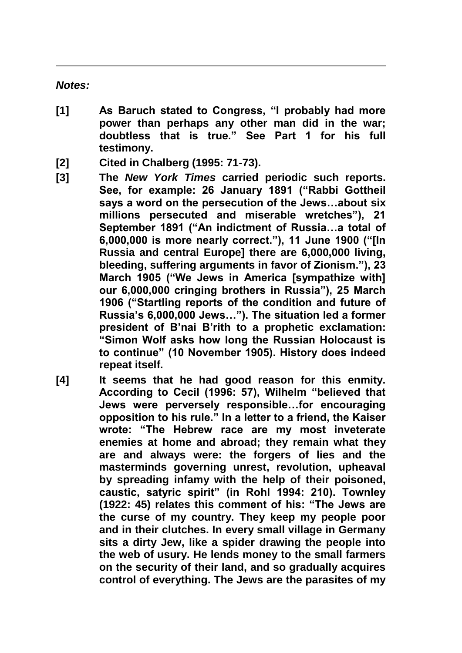#### *Notes:*

- **[\[1\]](http://inconvenienthistory.com/6/2/3294#_ednref1) As Baruch stated to Congress, "I probably had more power than perhaps any other man did in the war; doubtless that is true." See Part 1 for his full testimony.**
- **[\[2\]](http://inconvenienthistory.com/6/2/3294#_ednref2) Cited in Chalberg (1995: 71-73).**
- **[\[3\]](http://inconvenienthistory.com/6/2/3294#_ednref3) The** *New York Times* **carried periodic such reports. See, for example: 26 January 1891 ("Rabbi Gottheil says a word on the persecution of the Jews…about six millions persecuted and miserable wretches"), 21 September 1891 ("An indictment of Russia…a total of 6,000,000 is more nearly correct."), 11 June 1900 ("[In Russia and central Europe] there are 6,000,000 living, bleeding, suffering arguments in favor of Zionism."), 23 March 1905 ("We Jews in America [sympathize with] our 6,000,000 cringing brothers in Russia"), 25 March 1906 ("Startling reports of the condition and future of Russia"s 6,000,000 Jews…"). The situation led a former president of B"nai B"rith to a prophetic exclamation: "Simon Wolf asks how long the Russian Holocaust is to continue" (10 November 1905). History does indeed repeat itself.**
- **[\[4\]](http://inconvenienthistory.com/6/2/3294#_ednref4) It seems that he had good reason for this enmity. According to Cecil (1996: 57), Wilhelm "believed that Jews were perversely responsible…for encouraging opposition to his rule." In a letter to a friend, the Kaiser wrote: "The Hebrew race are my most inveterate enemies at home and abroad; they remain what they are and always were: the forgers of lies and the masterminds governing unrest, revolution, upheaval by spreading infamy with the help of their poisoned, caustic, satyric spirit" (in Rohl 1994: 210). Townley (1922: 45) relates this comment of his: "The Jews are the curse of my country. They keep my people poor and in their clutches. In every small village in Germany sits a dirty Jew, like a spider drawing the people into the web of usury. He lends money to the small farmers on the security of their land, and so gradually acquires control of everything. The Jews are the parasites of my**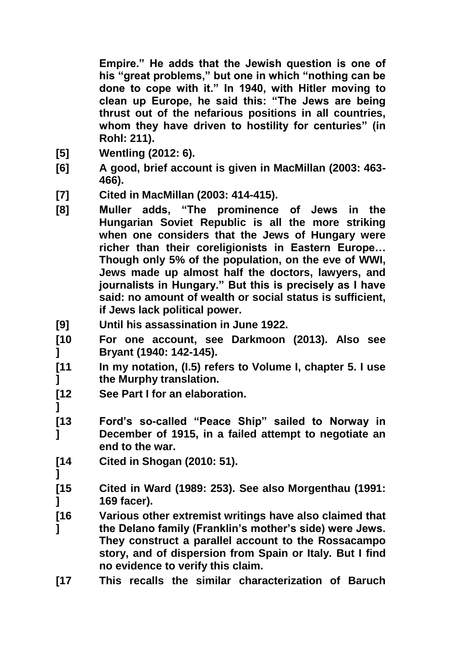**Empire." He adds that the Jewish question is one of his "great problems," but one in which "nothing can be done to cope with it." In 1940, with Hitler moving to clean up Europe, he said this: "The Jews are being thrust out of the nefarious positions in all countries, whom they have driven to hostility for centuries" (in Rohl: 211).**

- **[\[5\]](http://inconvenienthistory.com/6/2/3294#_ednref5) Wentling (2012: 6).**
- **[\[6\]](http://inconvenienthistory.com/6/2/3294#_ednref6) A good, brief account is given in MacMillan (2003: 463- 466).**
- **[\[7\]](http://inconvenienthistory.com/6/2/3294#_ednref7) Cited in MacMillan (2003: 414-415).**
- **[\[8\]](http://inconvenienthistory.com/6/2/3294#_ednref8) Muller adds, "The prominence of Jews in the Hungarian Soviet Republic is all the more striking when one considers that the Jews of Hungary were richer than their coreligionists in Eastern Europe… Though only 5% of the population, on the eve of WWI, Jews made up almost half the doctors, lawyers, and journalists in Hungary." But this is precisely as I have said: no amount of wealth or social status is sufficient, if Jews lack political power.**
- **[\[9\]](http://inconvenienthistory.com/6/2/3294#_ednref9) Until his assassination in June 1922.**
- **[\[10](http://inconvenienthistory.com/6/2/3294#_ednref10) [\]](http://inconvenienthistory.com/6/2/3294#_ednref10) For one account, see Darkmoon (2013). Also see Bryant (1940: 142-145).**
- **[\[11](http://inconvenienthistory.com/6/2/3294#_ednref11) [\]](http://inconvenienthistory.com/6/2/3294#_ednref11) In my notation, (I.5) refers to Volume I, chapter 5. I use the Murphy translation.**
- **[\[12](http://inconvenienthistory.com/6/2/3294#_ednref12) See Part I for an elaboration.**
- **[\]](http://inconvenienthistory.com/6/2/3294#_ednref12)**
- **[\[13](http://inconvenienthistory.com/6/2/3294#_ednref13) [\]](http://inconvenienthistory.com/6/2/3294#_ednref13) Ford"s so-called "Peace Ship" sailed to Norway in December of 1915, in a failed attempt to negotiate an end to the war.**
- **[\[14](http://inconvenienthistory.com/6/2/3294#_ednref14) Cited in Shogan (2010: 51).**
- **[\]](http://inconvenienthistory.com/6/2/3294#_ednref14)**

**[\]](http://inconvenienthistory.com/6/2/3294#_ednref15)**

- **[\[15](http://inconvenienthistory.com/6/2/3294#_ednref15) Cited in Ward (1989: 253). See also Morgenthau (1991: 169 facer).**
- **[\[16](http://inconvenienthistory.com/6/2/3294#_ednref16) [\]](http://inconvenienthistory.com/6/2/3294#_ednref16) Various other extremist writings have also claimed that the Delano family (Franklin"s mother"s side) were Jews. They construct a parallel account to the Rossacampo story, and of dispersion from Spain or Italy. But I find no evidence to verify this claim.**
- **[\[17](http://inconvenienthistory.com/6/2/3294#_ednref17) This recalls the similar characterization of Baruch**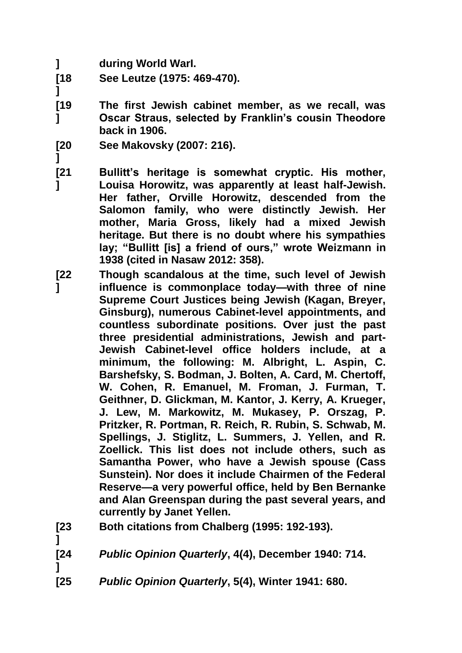**[\]](http://inconvenienthistory.com/6/2/3294#_ednref17) during World WarI.**

**[\]](http://inconvenienthistory.com/6/2/3294#_ednref18)**

**[\]](http://inconvenienthistory.com/6/2/3294#_ednref20)**

**[\]](http://inconvenienthistory.com/6/2/3294#_ednref23)**

**[\]](http://inconvenienthistory.com/6/2/3294#_ednref24)**

- **[\[18](http://inconvenienthistory.com/6/2/3294#_ednref18) See Leutze (1975: 469-470).**
- **[\[19](http://inconvenienthistory.com/6/2/3294#_ednref19) [\]](http://inconvenienthistory.com/6/2/3294#_ednref19) The first Jewish cabinet member, as we recall, was Oscar Straus, selected by Franklin"s cousin Theodore back in 1906.**
- **[\[20](http://inconvenienthistory.com/6/2/3294#_ednref20) See Makovsky (2007: 216).**
- **[\[21](http://inconvenienthistory.com/6/2/3294#_ednref21) [\]](http://inconvenienthistory.com/6/2/3294#_ednref21) Bullitt"s heritage is somewhat cryptic. His mother, Louisa Horowitz, was apparently at least half-Jewish. Her father, Orville Horowitz, descended from the Salomon family, who were distinctly Jewish. Her mother, Maria Gross, likely had a mixed Jewish heritage. But there is no doubt where his sympathies lay; "Bullitt [is] a friend of ours," wrote Weizmann in 1938 (cited in Nasaw 2012: 358).**
- **[\[22](http://inconvenienthistory.com/6/2/3294#_ednref22) [\]](http://inconvenienthistory.com/6/2/3294#_ednref22) Though scandalous at the time, such level of Jewish influence is commonplace today—with three of nine Supreme Court Justices being Jewish (Kagan, Breyer, Ginsburg), numerous Cabinet-level appointments, and countless subordinate positions. Over just the past three presidential administrations, Jewish and part-Jewish Cabinet-level office holders include, at a minimum, the following: M. Albright, L. Aspin, C. Barshefsky, S. Bodman, J. Bolten, A. Card, M. Chertoff, W. Cohen, R. Emanuel, M. Froman, J. Furman, T. Geithner, D. Glickman, M. Kantor, J. Kerry, A. Krueger, J. Lew, M. Markowitz, M. Mukasey, P. Orszag, P. Pritzker, R. Portman, R. Reich, R. Rubin, S. Schwab, M. Spellings, J. Stiglitz, L. Summers, J. Yellen, and R. Zoellick. This list does not include others, such as Samantha Power, who have a Jewish spouse (Cass Sunstein). Nor does it include Chairmen of the Federal Reserve—a very powerful office, held by Ben Bernanke and Alan Greenspan during the past several years, and currently by Janet Yellen.**
- **[\[23](http://inconvenienthistory.com/6/2/3294#_ednref23) Both citations from Chalberg (1995: 192-193).**
- **[\[24](http://inconvenienthistory.com/6/2/3294#_ednref24)** *Public Opinion Quarterly***, 4(4), December 1940: 714.**
- **[\[25](http://inconvenienthistory.com/6/2/3294#_ednref25)** *Public Opinion Quarterly***, 5(4), Winter 1941: 680.**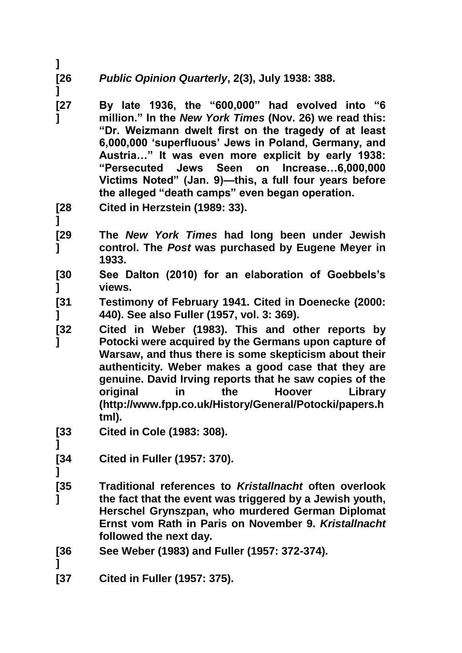#### **[\[26](http://inconvenienthistory.com/6/2/3294#_ednref26)** *Public Opinion Quarterly***, 2(3), July 1938: 388.**

**[\[27](http://inconvenienthistory.com/6/2/3294#_ednref27) [\]](http://inconvenienthistory.com/6/2/3294#_ednref27) By late 1936, the "600,000" had evolved into "6 million." In the** *New York Times* **(Nov. 26) we read this: "Dr. Weizmann dwelt first on the tragedy of at least 6,000,000 "superfluous" Jews in Poland, Germany, and Austria…" It was even more explicit by early 1938: "Persecuted Jews Seen on Increase…6,000,000 Victims Noted" (Jan. 9)—this, a full four years before the alleged "death camps" even began operation.** 

- **[\[29](http://inconvenienthistory.com/6/2/3294#_ednref29) [\]](http://inconvenienthistory.com/6/2/3294#_ednref29) The** *New York Times* **had long been under Jewish control. The** *Post* **was purchased by Eugene Meyer in 1933.**
- **[\[30](http://inconvenienthistory.com/6/2/3294#_ednref30) [\]](http://inconvenienthistory.com/6/2/3294#_ednref30) See Dalton (2010) for an elaboration of Goebbels"s views.**
- **[\[31](http://inconvenienthistory.com/6/2/3294#_ednref31) [\]](http://inconvenienthistory.com/6/2/3294#_ednref31) Testimony of February 1941. Cited in Doenecke (2000: 440). See also Fuller (1957, vol. 3: 369).**
- **[\[32](http://inconvenienthistory.com/6/2/3294#_ednref32) [\]](http://inconvenienthistory.com/6/2/3294#_ednref32) Cited in Weber (1983). This and other reports by Potocki were acquired by the Germans upon capture of Warsaw, and thus there is some skepticism about their authenticity. Weber makes a good case that they are genuine. David Irving reports that he saw copies of the original in the Hoover Library (http://www.fpp.co.uk/History/General/Potocki/papers.h tml).**
- **[\[33](http://inconvenienthistory.com/6/2/3294#_ednref33) Cited in Cole (1983: 308).**
- **[\[34](http://inconvenienthistory.com/6/2/3294#_ednref34) Cited in Fuller (1957: 370).**
- **[\[35](http://inconvenienthistory.com/6/2/3294#_ednref35) [\]](http://inconvenienthistory.com/6/2/3294#_ednref35) Traditional references to** *Kristallnacht* **often overlook the fact that the event was triggered by a Jewish youth, Herschel Grynszpan, who murdered German Diplomat Ernst vom Rath in Paris on November 9.** *Kristallnacht* **followed the next day.**
- **[\[36](http://inconvenienthistory.com/6/2/3294#_ednref36) See Weber (1983) and Fuller (1957: 372-374).**
- **[\]](http://inconvenienthistory.com/6/2/3294#_ednref36)**

**[\]](http://inconvenienthistory.com/6/2/3294#_ednref33)**

**[\]](http://inconvenienthistory.com/6/2/3294#_ednref34)**

**[\]](http://inconvenienthistory.com/6/2/3294#_ednref25)**

**[\]](http://inconvenienthistory.com/6/2/3294#_ednref26)**

**[\]](http://inconvenienthistory.com/6/2/3294#_ednref28)**

**[\[37](http://inconvenienthistory.com/6/2/3294#_ednref37) Cited in Fuller (1957: 375).**

**[<sup>\[28</sup>](http://inconvenienthistory.com/6/2/3294#_ednref28) Cited in Herzstein (1989: 33).**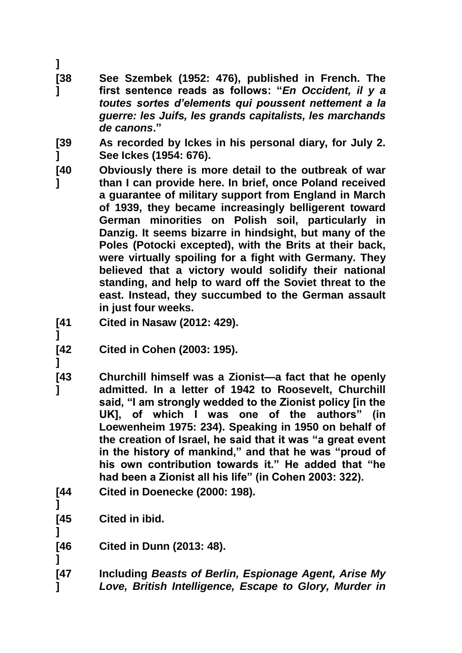- **[\[38](http://inconvenienthistory.com/6/2/3294#_ednref38) [\]](http://inconvenienthistory.com/6/2/3294#_ednref38) See Szembek (1952: 476), published in French. The first sentence reads as follows: "***En Occident, il y a toutes sortes d"elements qui poussent nettement a la guerre: les Juifs, les grands capitalists, les marchands de canons***."**
- **[\[39](http://inconvenienthistory.com/6/2/3294#_ednref39) [\]](http://inconvenienthistory.com/6/2/3294#_ednref39) As recorded by Ickes in his personal diary, for July 2. See Ickes (1954: 676).**
- **[\[40](http://inconvenienthistory.com/6/2/3294#_ednref40) [\]](http://inconvenienthistory.com/6/2/3294#_ednref40) Obviously there is more detail to the outbreak of war than I can provide here. In brief, once Poland received a guarantee of military support from England in March of 1939, they became increasingly belligerent toward German minorities on Polish soil, particularly in Danzig. It seems bizarre in hindsight, but many of the Poles (Potocki excepted), with the Brits at their back, were virtually spoiling for a fight with Germany. They believed that a victory would solidify their national standing, and help to ward off the Soviet threat to the east. Instead, they succumbed to the German assault in just four weeks.**
- **[\[41](http://inconvenienthistory.com/6/2/3294#_ednref41) Cited in Nasaw (2012: 429).**
- **[\[42](http://inconvenienthistory.com/6/2/3294#_ednref42) Cited in Cohen (2003: 195).**
- **[\[43](http://inconvenienthistory.com/6/2/3294#_ednref43) [\]](http://inconvenienthistory.com/6/2/3294#_ednref43) Churchill himself was a Zionist—a fact that he openly admitted. In a letter of 1942 to Roosevelt, Churchill said, "I am strongly wedded to the Zionist policy [in the UK], of which I was one of the authors" (in Loewenheim 1975: 234). Speaking in 1950 on behalf of the creation of Israel, he said that it was "a great event in the history of mankind," and that he was "proud of his own contribution towards it." He added that "he had been a Zionist all his life" (in Cohen 2003: 322).**
- **[\[44](http://inconvenienthistory.com/6/2/3294#_ednref44) Cited in Doenecke (2000: 198).**
- **[\]](http://inconvenienthistory.com/6/2/3294#_ednref44) [\[45](http://inconvenienthistory.com/6/2/3294#_ednref45)**

**[\]](http://inconvenienthistory.com/6/2/3294#_ednref45)**

**[\]](http://inconvenienthistory.com/6/2/3294#_ednref46)**

**[\]](http://inconvenienthistory.com/6/2/3294#_ednref41)**

**[\]](http://inconvenienthistory.com/6/2/3294#_ednref42)**

**[\]](http://inconvenienthistory.com/6/2/3294#_ednref37)**

**Cited in ibid.**

**[\[46](http://inconvenienthistory.com/6/2/3294#_ednref46) Cited in Dunn (2013: 48).**

**[\[47](http://inconvenienthistory.com/6/2/3294#_ednref47) [\]](http://inconvenienthistory.com/6/2/3294#_ednref47) Including** *Beasts of Berlin, Espionage Agent, Arise My*  Love, British Intelligence, Escape to Glory, Murder in